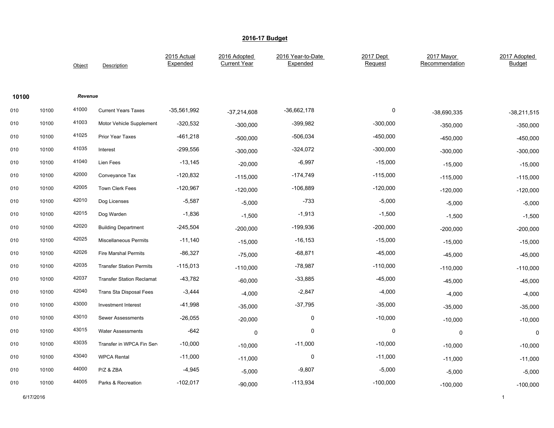|       |       | Object  | Description                      | 2015 Actual<br>Expended | 2016 Adopted<br><b>Current Year</b> | 2016 Year-to-Date<br>Expended | 2017 Dept<br>Request | 2017 Mayor<br>Recommendation | 2017 Adopted<br><b>Budget</b> |
|-------|-------|---------|----------------------------------|-------------------------|-------------------------------------|-------------------------------|----------------------|------------------------------|-------------------------------|
| 10100 |       | Revenue |                                  |                         |                                     |                               |                      |                              |                               |
| 010   | 10100 | 41000   | <b>Current Years Taxes</b>       | $-35,561,992$           | $-37,214,608$                       | $-36,662,178$                 | $\pmb{0}$            | $-38,690,335$                | $-38,211,515$                 |
| 010   | 10100 | 41003   | Motor Vehicle Supplement         | $-320,532$              | $-300,000$                          | -399,982                      | $-300,000$           | $-350,000$                   | $-350,000$                    |
| 010   | 10100 | 41025   | Prior Year Taxes                 | $-461,218$              | $-500,000$                          | -506,034                      | $-450,000$           | $-450,000$                   | $-450,000$                    |
| 010   | 10100 | 41035   | Interest                         | $-299,556$              | $-300,000$                          | $-324,072$                    | $-300,000$           | $-300,000$                   | $-300,000$                    |
| 010   | 10100 | 41040   | Lien Fees                        | $-13,145$               | $-20,000$                           | $-6,997$                      | $-15,000$            | $-15,000$                    | $-15,000$                     |
| 010   | 10100 | 42000   | Conveyance Tax                   | $-120,832$              | $-115,000$                          | $-174,749$                    | $-115,000$           | $-115,000$                   | $-115,000$                    |
| 010   | 10100 | 42005   | <b>Town Clerk Fees</b>           | $-120,967$              | $-120,000$                          | $-106,889$                    | $-120,000$           | $-120,000$                   | $-120,000$                    |
| 010   | 10100 | 42010   | Dog Licenses                     | $-5,587$                | $-5,000$                            | $-733$                        | $-5,000$             | $-5,000$                     | $-5,000$                      |
| 010   | 10100 | 42015   | Dog Warden                       | $-1,836$                | $-1,500$                            | $-1,913$                      | $-1,500$             | $-1,500$                     | $-1,500$                      |
| 010   | 10100 | 42020   | <b>Building Department</b>       | $-245,504$              | $-200,000$                          | $-199,936$                    | $-200,000$           | $-200,000$                   | $-200,000$                    |
| 010   | 10100 | 42025   | <b>Miscellaneous Permits</b>     | $-11,140$               | $-15,000$                           | $-16, 153$                    | $-15,000$            | $-15,000$                    | $-15,000$                     |
| 010   | 10100 | 42026   | Fire Marshal Permits             | $-86,327$               | $-75,000$                           | -68,871                       | $-45,000$            | $-45,000$                    | $-45,000$                     |
| 010   | 10100 | 42035   | <b>Transfer Station Permits</b>  | $-115,013$              | $-110,000$                          | $-78,987$                     | $-110,000$           | $-110,000$                   | $-110,000$                    |
| 010   | 10100 | 42037   | <b>Transfer Station Reclamat</b> | $-43,782$               | $-60,000$                           | $-33,885$                     | $-45,000$            | $-45,000$                    | $-45,000$                     |
| 010   | 10100 | 42040   | <b>Trans Sta Disposal Fees</b>   | $-3,444$                | $-4,000$                            | $-2,847$                      | $-4,000$             | $-4,000$                     | $-4,000$                      |
| 010   | 10100 | 43000   | Investment Interest              | $-41,998$               | $-35,000$                           | $-37,795$                     | $-35,000$            | $-35,000$                    | $-35,000$                     |
| 010   | 10100 | 43010   | <b>Sewer Assessments</b>         | $-26,055$               | $-20,000$                           | 0                             | $-10,000$            | $-10,000$                    | $-10,000$                     |
| 010   | 10100 | 43015   | <b>Water Assessments</b>         | $-642$                  | 0                                   | 0                             | 0                    | 0                            | 0                             |
| 010   | 10100 | 43035   | Transfer in WPCA Fin Sen         | $-10,000$               | $-10,000$                           | $-11,000$                     | $-10,000$            | $-10,000$                    | $-10,000$                     |
| 010   | 10100 | 43040   | <b>WPCA Rental</b>               | $-11,000$               | $-11,000$                           | $\mathbf 0$                   | $-11,000$            | $-11,000$                    | $-11,000$                     |
| 010   | 10100 | 44000   | P/Z & ZBA                        | $-4,945$                | $-5,000$                            | $-9,807$                      | $-5,000$             | $-5,000$                     | $-5,000$                      |
| 010   | 10100 | 44005   | Parks & Recreation               | $-102,017$              | $-90,000$                           | $-113,934$                    | $-100,000$           | $-100,000$                   | $-100,000$                    |

6/17/2016 1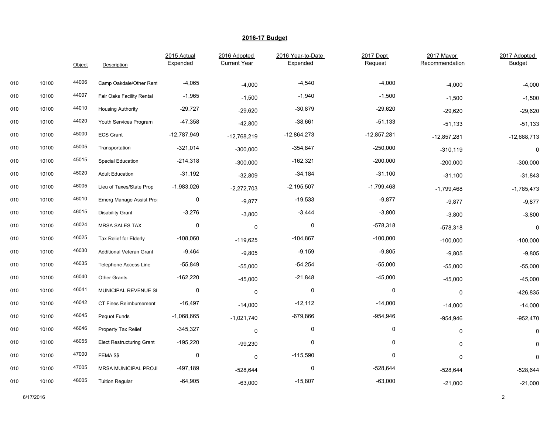|     |       | Object | Description                      | 2015 Actual<br>Expended | 2016 Adopted<br><b>Current Year</b> | 2016 Year-to-Date<br>Expended | 2017 Dept<br>Request | 2017 Mayor<br>Recommendation | 2017 Adopted<br>Budget |
|-----|-------|--------|----------------------------------|-------------------------|-------------------------------------|-------------------------------|----------------------|------------------------------|------------------------|
| 010 | 10100 | 44006  | Camp Oakdale/Other Rent          | $-4,065$                | $-4,000$                            | $-4,540$                      | $-4,000$             | $-4,000$                     | $-4,000$               |
| 010 | 10100 | 44007  | Fair Oaks Facility Rental        | $-1,965$                | $-1,500$                            | $-1,940$                      | $-1,500$             | $-1,500$                     | $-1,500$               |
| 010 | 10100 | 44010  | <b>Housing Authority</b>         | $-29,727$               | $-29,620$                           | $-30,879$                     | $-29,620$            | $-29,620$                    | $-29,620$              |
| 010 | 10100 | 44020  | Youth Services Program           | $-47,358$               | $-42,800$                           | $-38,661$                     | $-51,133$            | $-51,133$                    | $-51,133$              |
| 010 | 10100 | 45000  | <b>ECS Grant</b>                 | $-12,787,949$           | $-12,768,219$                       | $-12,864,273$                 | -12,857,281          | $-12,857,281$                | $-12,688,713$          |
| 010 | 10100 | 45005  | Transportation                   | $-321,014$              | $-300,000$                          | $-354,847$                    | $-250,000$           | $-310,119$                   | $\mathbf 0$            |
| 010 | 10100 | 45015  | Special Education                | $-214,318$              | $-300,000$                          | $-162,321$                    | $-200,000$           | $-200,000$                   | $-300,000$             |
| 010 | 10100 | 45020  | <b>Adult Education</b>           | $-31,192$               | $-32,809$                           | $-34,184$                     | $-31,100$            | $-31,100$                    | $-31,843$              |
| 010 | 10100 | 46005  | Lieu of Taxes/State Prop         | $-1,983,026$            | $-2,272,703$                        | $-2,195,507$                  | $-1,799,468$         | $-1,799,468$                 | $-1,785,473$           |
| 010 | 10100 | 46010  | Emerg Manage Assist Prog         | 0                       | $-9,877$                            | $-19,533$                     | $-9,877$             | $-9,877$                     | $-9,877$               |
| 010 | 10100 | 46015  | <b>Disability Grant</b>          | $-3,276$                | $-3,800$                            | $-3,444$                      | $-3,800$             | $-3,800$                     | $-3,800$               |
| 010 | 10100 | 46024  | <b>MRSA SALES TAX</b>            | 0                       | $\Omega$                            | 0                             | $-578,318$           | $-578,318$                   | $\mathbf 0$            |
| 010 | 10100 | 46025  | Tax Relief for Elderly           | $-108,060$              | $-119,625$                          | $-104,867$                    | $-100,000$           | $-100,000$                   | $-100,000$             |
| 010 | 10100 | 46030  | <b>Additional Veteran Grant</b>  | $-9,464$                | $-9,805$                            | $-9,159$                      | $-9,805$             | $-9,805$                     | $-9,805$               |
| 010 | 10100 | 46035  | <b>Telephone Access Line</b>     | $-55,849$               | $-55,000$                           | $-54,254$                     | $-55,000$            | $-55,000$                    | $-55,000$              |
| 010 | 10100 | 46040  | <b>Other Grants</b>              | $-162,220$              | $-45,000$                           | $-21,848$                     | $-45,000$            | $-45,000$                    | $-45,000$              |
| 010 | 10100 | 46041  | MUNICIPAL REVENUE SI             | 0                       | 0                                   | 0                             | 0                    | 0                            | $-426,835$             |
| 010 | 10100 | 46042  | CT Fines Reimbursement           | $-16,497$               | $-14,000$                           | $-12,112$                     | $-14,000$            | $-14,000$                    | $-14,000$              |
| 010 | 10100 | 46045  | Pequot Funds                     | $-1,068,665$            | $-1,021,740$                        | $-679,866$                    | $-954,946$           | $-954,946$                   | $-952,470$             |
| 010 | 10100 | 46046  | Property Tax Relief              | $-345,327$              | 0                                   | 0                             | 0                    | 0                            | 0                      |
| 010 | 10100 | 46055  | <b>Elect Restructuring Grant</b> | $-195,220$              | $-99,230$                           | $\mathbf 0$                   | 0                    | $\mathbf 0$                  | 0                      |
| 010 | 10100 | 47000  | FEMA \$\$                        | $\pmb{0}$               | 0                                   | $-115,590$                    | 0                    | $\mathbf 0$                  | $\mathbf 0$            |
| 010 | 10100 | 47005  | <b>MRSA MUNICIPAL PROJI</b>      | -497,189                | $-528,644$                          | 0                             | $-528,644$           | $-528,644$                   | $-528,644$             |
| 010 | 10100 | 48005  | <b>Tuition Regular</b>           | $-64,905$               | $-63,000$                           | $-15,807$                     | $-63,000$            | $-21,000$                    | $-21,000$              |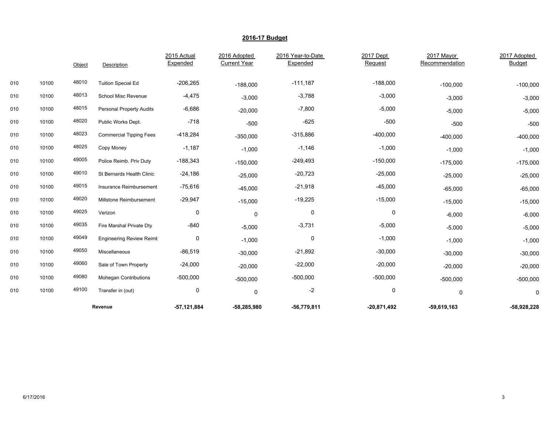|     |       | Object | Description                     | 2015 Actual<br>Expended | 2016 Adopted<br><b>Current Year</b> | 2016 Year-to-Date<br>Expended | 2017 Dept<br>Request | 2017 Mayor<br>Recommendation | 2017 Adopted<br><b>Budget</b> |
|-----|-------|--------|---------------------------------|-------------------------|-------------------------------------|-------------------------------|----------------------|------------------------------|-------------------------------|
| 010 | 10100 | 48010  | <b>Tuition Special Ed</b>       | $-206,265$              | $-188,000$                          | $-111,187$                    | $-188,000$           | $-100,000$                   | $-100,000$                    |
| 010 | 10100 | 48013  | School Misc Revenue             | $-4,475$                | $-3,000$                            | $-3,788$                      | $-3,000$             | $-3,000$                     | $-3,000$                      |
| 010 | 10100 | 48015  | <b>Personal Property Audits</b> | $-6,686$                | $-20,000$                           | $-7,800$                      | $-5,000$             | $-5,000$                     | $-5,000$                      |
| 010 | 10100 | 48020  | Public Works Dept.              | $-718$                  | $-500$                              | $-625$                        | $-500$               | $-500$                       | $-500$                        |
| 010 | 10100 | 48023  | <b>Commercial Tipping Fees</b>  | $-418,284$              | $-350,000$                          | $-315,886$                    | $-400,000$           | $-400,000$                   | $-400,000$                    |
| 010 | 10100 | 48025  | Copy Money                      | $-1,187$                | $-1,000$                            | $-1,146$                      | $-1,000$             | $-1,000$                     | $-1,000$                      |
| 010 | 10100 | 49005  | Police Reimb. Priv Duty         | $-188,343$              | $-150,000$                          | $-249,493$                    | $-150,000$           | $-175,000$                   | $-175,000$                    |
| 010 | 10100 | 49010  | St Bernards Health Clinic       | $-24,186$               | $-25,000$                           | $-20,723$                     | $-25,000$            | $-25,000$                    | $-25,000$                     |
| 010 | 10100 | 49015  | Insurance Reimbursement         | $-75,616$               | $-45,000$                           | $-21,918$                     | $-45,000$            | $-65,000$                    | $-65,000$                     |
| 010 | 10100 | 49020  | Millstone Reimbursement         | $-29,947$               | $-15,000$                           | $-19,225$                     | $-15,000$            | $-15,000$                    | $-15,000$                     |
| 010 | 10100 | 49025  | Verizon                         | 0                       | 0                                   | 0                             | 0                    | $-6,000$                     | $-6,000$                      |
| 010 | 10100 | 49035  | Fire Marshal Private Dty        | $-840$                  | $-5,000$                            | $-3,731$                      | $-5,000$             | $-5,000$                     | $-5,000$                      |
| 010 | 10100 | 49049  | <b>Engineering Review Reimt</b> | 0                       | $-1,000$                            | 0                             | $-1,000$             | $-1,000$                     | $-1,000$                      |
| 010 | 10100 | 49050  | Miscellaneous                   | $-86,519$               | $-30,000$                           | $-21,892$                     | $-30,000$            | $-30,000$                    | $-30,000$                     |
| 010 | 10100 | 49060  | Sale of Town Property           | $-24,000$               | $-20,000$                           | $-22,000$                     | $-20,000$            | $-20,000$                    | $-20,000$                     |
| 010 | 10100 | 49080  | <b>Mohegan Contributions</b>    | $-500,000$              | $-500,000$                          | $-500,000$                    | $-500,000$           | $-500,000$                   | $-500,000$                    |
| 010 | 10100 | 49100  | Transfer in (out)               | 0                       | 0                                   | $-2$                          | 0                    | 0                            | 0                             |
|     |       |        | Revenue                         | $-57,121,884$           | $-58,285,980$                       | $-56,779,811$                 | $-20,871,492$        | $-59,619,163$                | $-58,928,228$                 |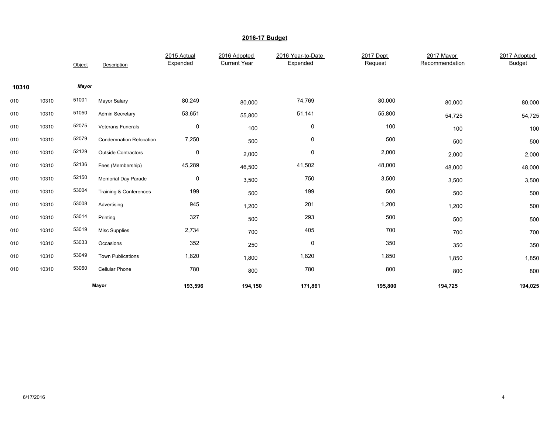|       |       | Object | Description                    | 2015 Actual<br>Expended | 2016 Adopted<br><b>Current Year</b> | 2016 Year-to-Date<br>Expended | 2017 Dept<br>Request | 2017 Mayor<br>Recommendation | 2017 Adopted<br><b>Budget</b> |
|-------|-------|--------|--------------------------------|-------------------------|-------------------------------------|-------------------------------|----------------------|------------------------------|-------------------------------|
| 10310 |       | Mayor  |                                |                         |                                     |                               |                      |                              |                               |
| 010   | 10310 | 51001  | Mayor Salary                   | 80,249                  | 80,000                              | 74,769                        | 80,000               | 80,000                       | 80,000                        |
| 010   | 10310 | 51050  | Admin Secretary                | 53,651                  | 55,800                              | 51,141                        | 55,800               | 54,725                       | 54,725                        |
| 010   | 10310 | 52075  | <b>Veterans Funerals</b>       | $\pmb{0}$               | 100                                 | 0                             | 100                  | 100                          | 100                           |
| 010   | 10310 | 52079  | <b>Condemnation Relocation</b> | 7,250                   | 500                                 | 0                             | 500                  | 500                          | 500                           |
| 010   | 10310 | 52129  | <b>Outside Contractors</b>     | $\pmb{0}$               | 2,000                               | 0                             | 2,000                | 2,000                        | 2,000                         |
| 010   | 10310 | 52136  | Fees (Membership)              | 45,289                  | 46,500                              | 41,502                        | 48,000               | 48,000                       | 48,000                        |
| 010   | 10310 | 52150  | <b>Memorial Day Parade</b>     | $\pmb{0}$               | 3,500                               | 750                           | 3,500                | 3,500                        | 3,500                         |
| 010   | 10310 | 53004  | Training & Conferences         | 199                     | 500                                 | 199                           | 500                  | 500                          | 500                           |
| 010   | 10310 | 53008  | Advertising                    | 945                     | 1,200                               | 201                           | 1,200                | 1,200                        | 500                           |
| 010   | 10310 | 53014  | Printing                       | 327                     | 500                                 | 293                           | 500                  | 500                          | 500                           |
| 010   | 10310 | 53019  | <b>Misc Supplies</b>           | 2,734                   | 700                                 | 405                           | 700                  | 700                          | 700                           |
| 010   | 10310 | 53033  | Occasions                      | 352                     | 250                                 | 0                             | 350                  | 350                          | 350                           |
| 010   | 10310 | 53049  | <b>Town Publications</b>       | 1,820                   | 1,800                               | 1,820                         | 1,850                | 1,850                        | 1,850                         |
| 010   | 10310 | 53060  | Cellular Phone                 | 780                     | 800                                 | 780                           | 800                  | 800                          | 800                           |
|       |       |        | Mayor                          | 193,596                 | 194,150                             | 171,861                       | 195,800              | 194,725                      | 194,025                       |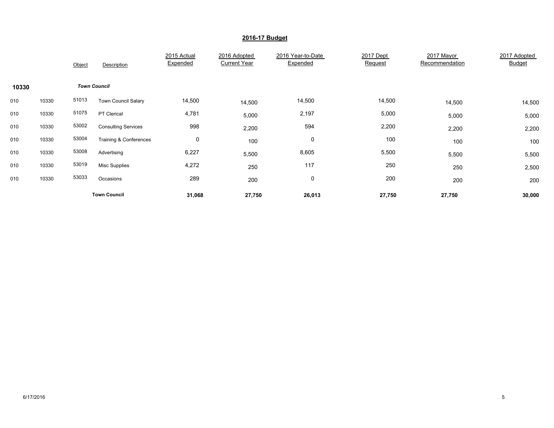|       |       | Object | Description                | 2015 Actual<br>Expended | 2016 Adopted<br><b>Current Year</b> | 2016 Year-to-Date<br>Expended | 2017 Dept<br>Request | 2017 Mayor<br>Recommendation | 2017 Adopted<br><b>Budget</b> |
|-------|-------|--------|----------------------------|-------------------------|-------------------------------------|-------------------------------|----------------------|------------------------------|-------------------------------|
| 10330 |       |        | <b>Town Council</b>        |                         |                                     |                               |                      |                              |                               |
| 010   | 10330 | 51013  | <b>Town Council Salary</b> | 14,500                  | 14,500                              | 14,500                        | 14,500               | 14,500                       | 14,500                        |
| 010   | 10330 | 51075  | PT Clerical                | 4,781                   | 5,000                               | 2,197                         | 5,000                | 5,000                        | 5,000                         |
| 010   | 10330 | 53002  | <b>Consulting Services</b> | 998                     | 2,200                               | 594                           | 2,200                | 2,200                        | 2,200                         |
| 010   | 10330 | 53004  | Training & Conferences     | 0                       | 100                                 | 0                             | 100                  | 100                          | 100                           |
| 010   | 10330 | 53008  | Advertising                | 6,227                   | 5,500                               | 8,605                         | 5,500                | 5,500                        | 5,500                         |
| 010   | 10330 | 53019  | <b>Misc Supplies</b>       | 4,272                   | 250                                 | 117                           | 250                  | 250                          | 2,500                         |
| 010   | 10330 | 53033  | Occasions                  | 289                     | 200                                 | 0                             | 200                  | 200                          | 200                           |
|       |       |        | <b>Town Council</b>        | 31,068                  | 27,750                              | 26,013                        | 27,750               | 27,750                       | 30,000                        |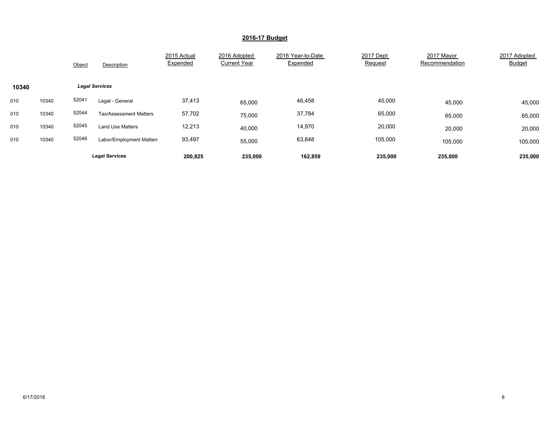|       |       | Object                | Description                   | 2015 Actual<br>Expended | 2016 Adopted<br><b>Current Year</b> | 2016 Year-to-Date<br>Expended | 2017 Dept<br>Request | 2017 Mayor<br>Recommendation | 2017 Adopted<br><b>Budget</b> |
|-------|-------|-----------------------|-------------------------------|-------------------------|-------------------------------------|-------------------------------|----------------------|------------------------------|-------------------------------|
| 10340 |       | <b>Legal Services</b> |                               |                         |                                     |                               |                      |                              |                               |
| 010   | 10340 | 52041                 | Legal - General               | 37,413                  | 65,000                              | 46,458                        | 45,000               | 45,000                       | 45,000                        |
| 010   | 10340 | 52044                 | <b>Tax/Assessment Matters</b> | 57,702                  | 75,000                              | 37,784                        | 65,000               | 65,000                       | 65,000                        |
| 010   | 10340 | 52045                 | Land Use Matters              | 12,213                  | 40,000                              | 14,970                        | 20,000               | 20,000                       | 20,000                        |
| 010   | 10340 | 52046                 | Labor/Employment Matters      | 93,497                  | 55,000                              | 63,648                        | 105,000              | 105,000                      | 105,000                       |
|       |       |                       | <b>Legal Services</b>         | 200,825                 | 235,000                             | 162,859                       | 235,000              | 235,000                      | 235,000                       |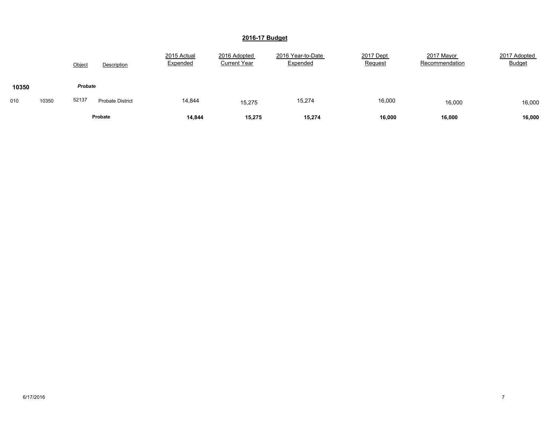|       |       | Object  | Description             | 2015 Actual<br>Expended | 2016 Adopted<br><b>Current Year</b> | 2016 Year-to-Date<br>Expended | 2017 Dept<br>Request | 2017 Mayor<br>Recommendation | 2017 Adopted<br><b>Budget</b> |
|-------|-------|---------|-------------------------|-------------------------|-------------------------------------|-------------------------------|----------------------|------------------------------|-------------------------------|
| 10350 |       | Probate |                         |                         |                                     |                               |                      |                              |                               |
| 010   | 10350 | 52137   | <b>Probate District</b> | 14,844                  | 15,275                              | 15,274                        | 16,000               | 16,000                       | 16,000                        |
|       |       |         | Probate                 | 14,844                  | 15,275                              | 15,274                        | 16,000               | 16,000                       | 16,000                        |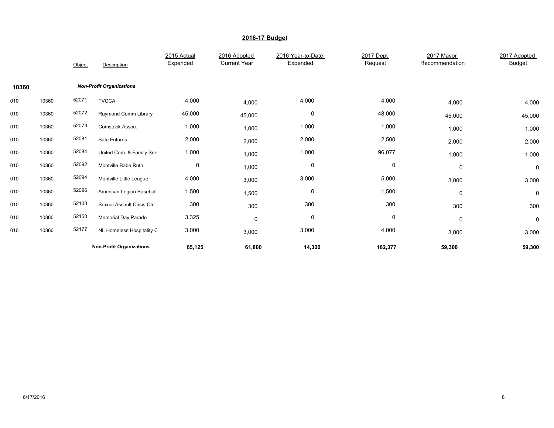|       |       | Object | Description                     | 2015 Actual<br>Expended | 2016 Adopted<br><b>Current Year</b> | 2016 Year-to-Date<br>Expended | 2017 Dept<br>Request | 2017 Mayor<br>Recommendation | 2017 Adopted<br><b>Budget</b> |
|-------|-------|--------|---------------------------------|-------------------------|-------------------------------------|-------------------------------|----------------------|------------------------------|-------------------------------|
| 10360 |       |        | <b>Non-Profit Organizations</b> |                         |                                     |                               |                      |                              |                               |
| 010   | 10360 | 52071  | <b>TVCCA</b>                    | 4,000                   | 4,000                               | 4,000                         | 4,000                | 4,000                        | 4,000                         |
| 010   | 10360 | 52072  | Raymond Comm Library            | 45,000                  | 45,000                              | 0                             | 48,000               | 45,000                       | 45,000                        |
| 010   | 10360 | 52073  | Comstock Assoc.                 | 1,000                   | 1,000                               | 1,000                         | 1,000                | 1,000                        | 1,000                         |
| 010   | 10360 | 52081  | Safe Futures                    | 2,000                   | 2,000                               | 2,000                         | 2,500                | 2,000                        | 2,000                         |
| 010   | 10360 | 52084  | United Com. & Family Sen        | 1,000                   | 1,000                               | 1,000                         | 96,077               | 1,000                        | 1,000                         |
| 010   | 10360 | 52092  | Montville Babe Ruth             | 0                       | 1,000                               | 0                             | 0                    | 0                            | 0                             |
| 010   | 10360 | 52094  | Montville Little League         | 4,000                   | 3,000                               | 3,000                         | 5,000                | 3,000                        | 3,000                         |
| 010   | 10360 | 52096  | American Legion Baseball        | 1,500                   | 1,500                               | 0                             | 1,500                | 0                            | 0                             |
| 010   | 10360 | 52100  | Sexual Assault Crisis Ctr       | 300                     | 300                                 | 300                           | 300                  | 300                          | 300                           |
| 010   | 10360 | 52150  | Memorial Day Parade             | 3,325                   | $\mathbf 0$                         | 0                             | 0                    | 0                            | 0                             |
| 010   | 10360 | 52177  | NL Homeless Hospitality C       | 3,000                   | 3,000                               | 3,000                         | 4,000                | 3,000                        | 3,000                         |
|       |       |        | <b>Non-Profit Organizations</b> | 65,125                  | 61,800                              | 14,300                        | 162,377              | 59,300                       | 59,300                        |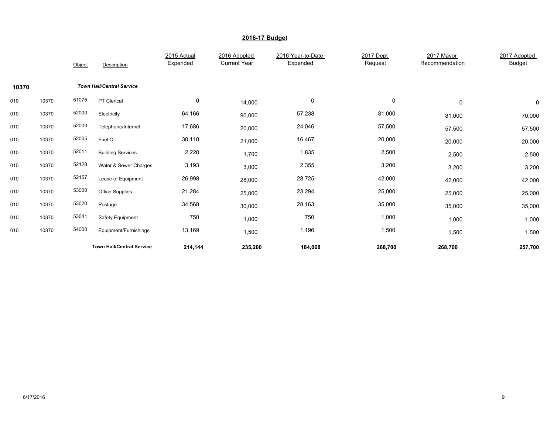|       |       | Object | Description                      | 2015 Actual<br>Expended | 2016 Adopted<br><b>Current Year</b> | 2016 Year-to-Date<br>Expended | 2017 Dept<br>Request | 2017 Mayor<br>Recommendation | 2017 Adopted<br>Budget |
|-------|-------|--------|----------------------------------|-------------------------|-------------------------------------|-------------------------------|----------------------|------------------------------|------------------------|
| 10370 |       |        | <b>Town Hall/Central Service</b> |                         |                                     |                               |                      |                              |                        |
| 010   | 10370 | 51075  | PT Clerical                      | 0                       | 14,000                              | 0                             | 0                    | $\mathbf 0$                  | 0                      |
| 010   | 10370 | 52000  | Electricity                      | 64,166                  | 90,000                              | 57,238                        | 81,000               | 81,000                       | 70,000                 |
| 010   | 10370 | 52003  | Telephone/Internet               | 17,686                  | 20,000                              | 24,046                        | 57,500               | 57,500                       | 57,500                 |
| 010   | 10370 | 52005  | Fuel Oil                         | 30,110                  | 21,000                              | 16,467                        | 20,000               | 20,000                       | 20,000                 |
| 010   | 10370 | 52011  | <b>Building Services</b>         | 2,220                   | 1,700                               | 1,835                         | 2,500                | 2,500                        | 2,500                  |
| 010   | 10370 | 52128  | Water & Sewer Charges            | 3,193                   | 3,000                               | 2,355                         | 3,200                | 3,200                        | 3,200                  |
| 010   | 10370 | 52157  | Lease of Equipment               | 26,998                  | 28,000                              | 28,725                        | 42,000               | 42,000                       | 42,000                 |
| 010   | 10370 | 53000  | Office Supplies                  | 21,284                  | 25,000                              | 23,294                        | 25,000               | 25,000                       | 25,000                 |
| 010   | 10370 | 53020  | Postage                          | 34,568                  | 30,000                              | 28,163                        | 35,000               | 35,000                       | 35,000                 |
| 010   | 10370 | 53041  | Safety Equipment                 | 750                     | 1,000                               | 750                           | 1,000                | 1,000                        | 1,000                  |
| 010   | 10370 | 54000  | Equipment/Furnishings            | 13,169                  | 1,500                               | 1,196                         | 1,500                | 1,500                        | 1,500                  |
|       |       |        | <b>Town Hall/Central Service</b> | 214,144                 | 235,200                             | 184,068                       | 268,700              | 268,700                      | 257,700                |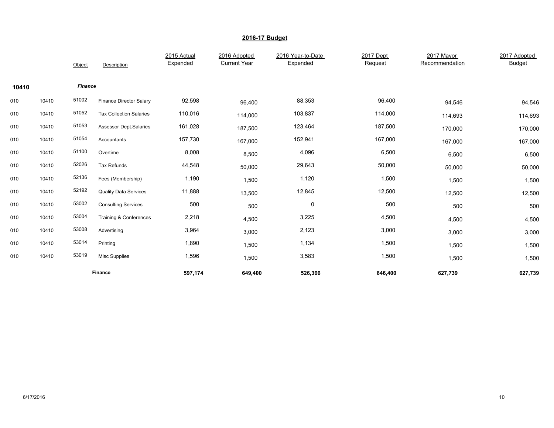|       |       | Object         | Description                    | 2015 Actual<br>Expended | 2016 Adopted<br><b>Current Year</b> | 2016 Year-to-Date<br>Expended | 2017 Dept<br>Request | 2017 Mayor<br>Recommendation | 2017 Adopted<br><b>Budget</b> |
|-------|-------|----------------|--------------------------------|-------------------------|-------------------------------------|-------------------------------|----------------------|------------------------------|-------------------------------|
| 10410 |       | <b>Finance</b> |                                |                         |                                     |                               |                      |                              |                               |
| 010   | 10410 | 51002          | <b>Finance Director Salary</b> | 92,598                  | 96,400                              | 88,353                        | 96,400               | 94,546                       | 94,546                        |
| 010   | 10410 | 51052          | <b>Tax Collection Salaries</b> | 110,016                 | 114,000                             | 103,837                       | 114,000              | 114,693                      | 114,693                       |
| 010   | 10410 | 51053          | <b>Assessor Dept.Salaries</b>  | 161,028                 | 187,500                             | 123,464                       | 187,500              | 170,000                      | 170,000                       |
| 010   | 10410 | 51054          | Accountants                    | 157,730                 | 167,000                             | 152,941                       | 167,000              | 167,000                      | 167,000                       |
| 010   | 10410 | 51100          | Overtime                       | 8,008                   | 8,500                               | 4,096                         | 6,500                | 6,500                        | 6,500                         |
| 010   | 10410 | 52026          | Tax Refunds                    | 44,548                  | 50,000                              | 29,643                        | 50,000               | 50,000                       | 50,000                        |
| 010   | 10410 | 52136          | Fees (Membership)              | 1,190                   | 1,500                               | 1,120                         | 1,500                | 1,500                        | 1,500                         |
| 010   | 10410 | 52192          | <b>Quality Data Services</b>   | 11,888                  | 13,500                              | 12,845                        | 12,500               | 12,500                       | 12,500                        |
| 010   | 10410 | 53002          | <b>Consulting Services</b>     | 500                     | 500                                 | 0                             | 500                  | 500                          | 500                           |
| 010   | 10410 | 53004          | Training & Conferences         | 2,218                   | 4,500                               | 3,225                         | 4,500                | 4,500                        | 4,500                         |
| 010   | 10410 | 53008          | Advertising                    | 3,964                   | 3,000                               | 2,123                         | 3,000                | 3,000                        | 3,000                         |
| 010   | 10410 | 53014          | Printing                       | 1,890                   | 1,500                               | 1,134                         | 1,500                | 1,500                        | 1,500                         |
| 010   | 10410 | 53019          | <b>Misc Supplies</b>           | 1,596                   | 1,500                               | 3,583                         | 1,500                | 1,500                        | 1,500                         |
|       |       |                | Finance                        | 597,174                 | 649,400                             | 526,366                       | 646,400              | 627,739                      | 627,739                       |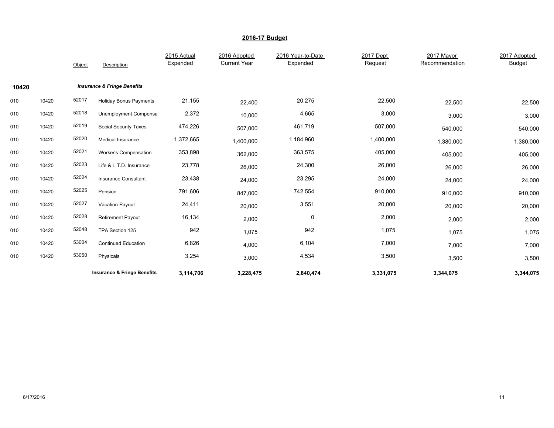|       |       | Object | Description                            | 2015 Actual<br>Expended | 2016 Adopted<br><b>Current Year</b> | 2016 Year-to-Date<br>Expended | 2017 Dept<br>Request | 2017 Mayor<br>Recommendation | 2017 Adopted<br><b>Budget</b> |
|-------|-------|--------|----------------------------------------|-------------------------|-------------------------------------|-------------------------------|----------------------|------------------------------|-------------------------------|
| 10420 |       |        | <b>Insurance &amp; Fringe Benefits</b> |                         |                                     |                               |                      |                              |                               |
| 010   | 10420 | 52017  | <b>Holiday Bonus Payments</b>          | 21,155                  | 22,400                              | 20,275                        | 22,500               | 22,500                       | 22,500                        |
| 010   | 10420 | 52018  | Unemployment Compensa                  | 2,372                   | 10,000                              | 4,665                         | 3,000                | 3,000                        | 3,000                         |
| 010   | 10420 | 52019  | Social Security Taxes                  | 474,226                 | 507,000                             | 461,719                       | 507,000              | 540,000                      | 540,000                       |
| 010   | 10420 | 52020  | Medical Insurance                      | 1,372,665               | 1,400,000                           | 1,184,960                     | 1,400,000            | 1,380,000                    | 1,380,000                     |
| 010   | 10420 | 52021  | <b>Worker's Compensation</b>           | 353,898                 | 362,000                             | 363,575                       | 405,000              | 405,000                      | 405,000                       |
| 010   | 10420 | 52023  | Life & L.T.D. Insurance                | 23,778                  | 26,000                              | 24,300                        | 26,000               | 26,000                       | 26,000                        |
| 010   | 10420 | 52024  | Insurance Consultant                   | 23,438                  | 24,000                              | 23,295                        | 24,000               | 24,000                       | 24,000                        |
| 010   | 10420 | 52025  | Pension                                | 791,606                 | 847,000                             | 742,554                       | 910,000              | 910,000                      | 910,000                       |
| 010   | 10420 | 52027  | Vacation Payout                        | 24,411                  | 20,000                              | 3,551                         | 20,000               | 20,000                       | 20,000                        |
| 010   | 10420 | 52028  | <b>Retirement Payout</b>               | 16,134                  | 2,000                               | 0                             | 2,000                | 2,000                        | 2,000                         |
| 010   | 10420 | 52048  | TPA Section 125                        | 942                     | 1,075                               | 942                           | 1,075                | 1,075                        | 1,075                         |
| 010   | 10420 | 53004  | <b>Continued Education</b>             | 6,826                   | 4,000                               | 6,104                         | 7,000                | 7,000                        | 7,000                         |
| 010   | 10420 | 53050  | Physicals                              | 3,254                   | 3,000                               | 4,534                         | 3,500                | 3,500                        | 3,500                         |
|       |       |        | <b>Insurance &amp; Fringe Benefits</b> | 3,114,706               | 3,228,475                           | 2,840,474                     | 3,331,075            | 3,344,075                    | 3,344,075                     |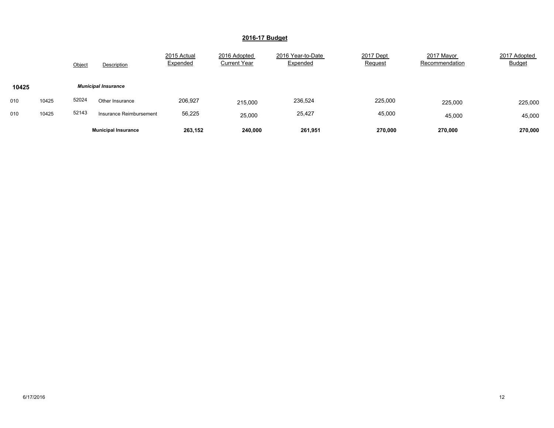|       |       | Object | Description                | 2015 Actual<br>Expended | 2016 Adopted<br><b>Current Year</b> | 2016 Year-to-Date<br>Expended | 2017 Dept<br>Request | 2017 Mayor<br>Recommendation | 2017 Adopted<br><b>Budget</b> |
|-------|-------|--------|----------------------------|-------------------------|-------------------------------------|-------------------------------|----------------------|------------------------------|-------------------------------|
| 10425 |       |        | <b>Municipal Insurance</b> |                         |                                     |                               |                      |                              |                               |
| 010   | 10425 | 52024  | Other Insurance            | 206,927                 | 215,000                             | 236,524                       | 225,000              | 225,000                      | 225,000                       |
| 010   | 10425 | 52143  | Insurance Reimbursement    | 56,225                  | 25,000                              | 25,427                        | 45,000               | 45,000                       | 45,000                        |
|       |       |        | <b>Municipal Insurance</b> | 263.152                 | 240.000                             | 261,951                       | 270,000              | 270.000                      | 270,000                       |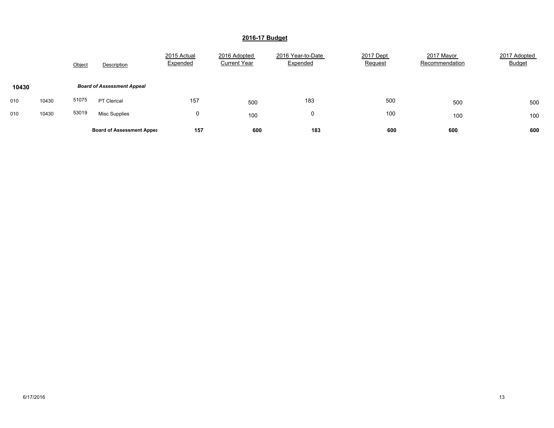|       |       | Object | Description                       | 2015 Actual<br>Expended | 2016 Adopted<br><b>Current Year</b> | 2016 Year-to-Date<br>Expended | 2017 Dept<br>Request | 2017 Mayor<br>Recommendation | 2017 Adopted<br><b>Budget</b> |
|-------|-------|--------|-----------------------------------|-------------------------|-------------------------------------|-------------------------------|----------------------|------------------------------|-------------------------------|
| 10430 |       |        | <b>Board of Assessment Appeal</b> |                         |                                     |                               |                      |                              |                               |
| 010   | 10430 | 51075  | <b>PT Clerical</b>                | 157                     | 500                                 | 183                           | 500                  | 500                          | 500                           |
| 010   | 10430 | 53019  | <b>Misc Supplies</b>              | 0                       | 100                                 | υ                             | 100                  | 100                          | 100                           |
|       |       |        | <b>Board of Assessment Appea</b>  | 157                     | 600                                 | 183                           | 600                  | 600                          | 600                           |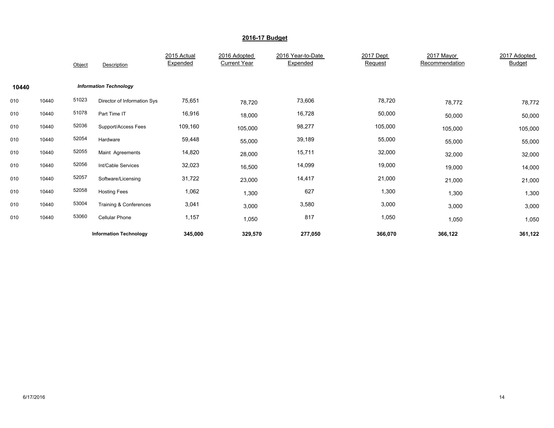|       |       | Object | Description                   | 2015 Actual<br>Expended | 2016 Adopted<br><b>Current Year</b> | 2016 Year-to-Date<br>Expended | 2017 Dept<br>Request | 2017 Mayor<br>Recommendation | 2017 Adopted<br><b>Budget</b> |
|-------|-------|--------|-------------------------------|-------------------------|-------------------------------------|-------------------------------|----------------------|------------------------------|-------------------------------|
| 10440 |       |        | <b>Information Technology</b> |                         |                                     |                               |                      |                              |                               |
| 010   | 10440 | 51023  | Director of Information Sys   | 75,651                  | 78,720                              | 73,606                        | 78,720               | 78,772                       | 78,772                        |
| 010   | 10440 | 51078  | Part Time IT                  | 16,916                  | 18,000                              | 16,728                        | 50,000               | 50,000                       | 50,000                        |
| 010   | 10440 | 52036  | Support/Access Fees           | 109,160                 | 105,000                             | 98,277                        | 105,000              | 105,000                      | 105,000                       |
| 010   | 10440 | 52054  | Hardware                      | 59,448                  | 55,000                              | 39,189                        | 55,000               | 55,000                       | 55,000                        |
| 010   | 10440 | 52055  | Maint Agreements              | 14,820                  | 28,000                              | 15,711                        | 32,000               | 32,000                       | 32,000                        |
| 010   | 10440 | 52056  | Int/Cable Services            | 32,023                  | 16,500                              | 14,099                        | 19,000               | 19,000                       | 14,000                        |
| 010   | 10440 | 52057  | Software/Licensing            | 31,722                  | 23,000                              | 14,417                        | 21,000               | 21,000                       | 21,000                        |
| 010   | 10440 | 52058  | <b>Hosting Fees</b>           | 1,062                   | 1,300                               | 627                           | 1,300                | 1,300                        | 1,300                         |
| 010   | 10440 | 53004  | Training & Conferences        | 3,041                   | 3,000                               | 3,580                         | 3,000                | 3,000                        | 3,000                         |
| 010   | 10440 | 53060  | <b>Cellular Phone</b>         | 1,157                   | 1,050                               | 817                           | 1,050                | 1,050                        | 1,050                         |
|       |       |        | <b>Information Technology</b> | 345,000                 | 329,570                             | 277,050                       | 366,070              | 366,122                      | 361,122                       |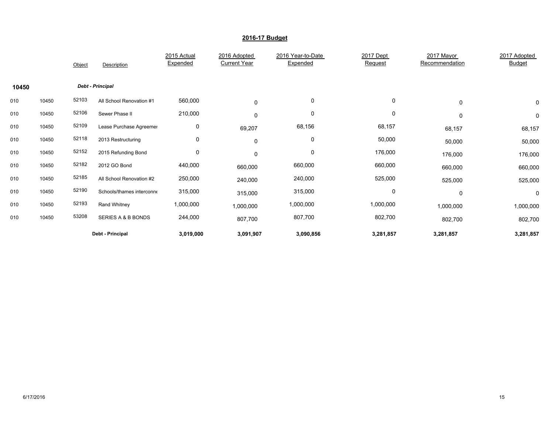|       |       | Object | Description               | 2015 Actual<br>Expended | 2016 Adopted<br><b>Current Year</b> | 2016 Year-to-Date<br>Expended | 2017 Dept<br>Request | 2017 Mayor<br>Recommendation | 2017 Adopted<br><b>Budget</b> |
|-------|-------|--------|---------------------------|-------------------------|-------------------------------------|-------------------------------|----------------------|------------------------------|-------------------------------|
| 10450 |       |        | Debt - Principal          |                         |                                     |                               |                      |                              |                               |
| 010   | 10450 | 52103  | All School Renovation #1  | 560,000                 | $\Omega$                            | 0                             | 0                    | 0                            | 0                             |
| 010   | 10450 | 52106  | Sewer Phase II            | 210,000                 | 0                                   | 0                             | 0                    | 0                            | 0                             |
| 010   | 10450 | 52109  | Lease Purchase Agreemer   | 0                       | 69,207                              | 68,156                        | 68,157               | 68,157                       | 68,157                        |
| 010   | 10450 | 52118  | 2013 Restructuring        | 0                       | $\mathbf 0$                         | 0                             | 50,000               | 50,000                       | 50,000                        |
| 010   | 10450 | 52152  | 2015 Refunding Bond       | 0                       | $\mathbf 0$                         | $\mathbf 0$                   | 176,000              | 176,000                      | 176,000                       |
| 010   | 10450 | 52182  | 2012 GO Bond              | 440,000                 | 660,000                             | 660,000                       | 660,000              | 660,000                      | 660,000                       |
| 010   | 10450 | 52185  | All School Renovation #2  | 250,000                 | 240,000                             | 240,000                       | 525,000              | 525,000                      | 525,000                       |
| 010   | 10450 | 52190  | Schools/thames interconne | 315,000                 | 315,000                             | 315,000                       | 0                    | 0                            | 0                             |
| 010   | 10450 | 52193  | Rand Whitney              | 1,000,000               | 1,000,000                           | 1,000,000                     | 1,000,000            | 1,000,000                    | 1,000,000                     |
| 010   | 10450 | 53208  | SERIES A & B BONDS        | 244,000                 | 807,700                             | 807,700                       | 802,700              | 802,700                      | 802,700                       |
|       |       |        | Debt - Principal          | 3,019,000               | 3,091,907                           | 3,090,856                     | 3,281,857            | 3,281,857                    | 3,281,857                     |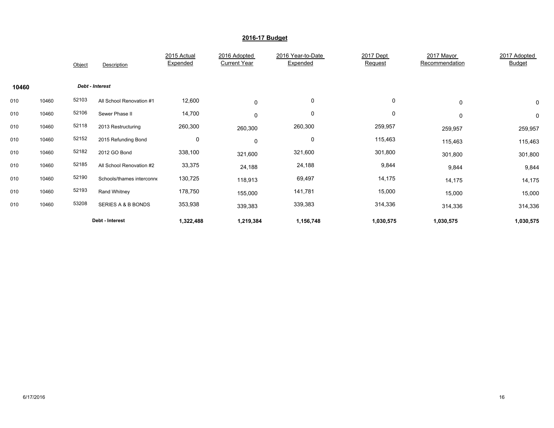|       |       | Object | Description               | 2015 Actual<br>Expended | 2016 Adopted<br><b>Current Year</b> | 2016 Year-to-Date<br>Expended | 2017 Dept<br>Request | 2017 Mayor<br>Recommendation | 2017 Adopted<br><b>Budget</b> |
|-------|-------|--------|---------------------------|-------------------------|-------------------------------------|-------------------------------|----------------------|------------------------------|-------------------------------|
| 10460 |       |        | Debt - Interest           |                         |                                     |                               |                      |                              |                               |
| 010   | 10460 | 52103  | All School Renovation #1  | 12,600                  | $\mathbf 0$                         | 0                             | 0                    | 0                            | 0                             |
| 010   | 10460 | 52106  | Sewer Phase II            | 14,700                  | 0                                   | 0                             | 0                    | 0                            | 0                             |
| 010   | 10460 | 52118  | 2013 Restructuring        | 260,300                 | 260,300                             | 260,300                       | 259,957              | 259,957                      | 259,957                       |
| 010   | 10460 | 52152  | 2015 Refunding Bond       | 0                       | 0                                   | 0                             | 115,463              | 115,463                      | 115,463                       |
| 010   | 10460 | 52182  | 2012 GO Bond              | 338,100                 | 321,600                             | 321,600                       | 301,800              | 301,800                      | 301,800                       |
| 010   | 10460 | 52185  | All School Renovation #2  | 33,375                  | 24,188                              | 24,188                        | 9,844                | 9,844                        | 9,844                         |
| 010   | 10460 | 52190  | Schools/thames interconne | 130,725                 | 118,913                             | 69,497                        | 14,175               | 14,175                       | 14,175                        |
| 010   | 10460 | 52193  | Rand Whitney              | 178,750                 | 155,000                             | 141,781                       | 15,000               | 15,000                       | 15,000                        |
| 010   | 10460 | 53208  | SERIES A & B BONDS        | 353,938                 | 339,383                             | 339,383                       | 314,336              | 314,336                      | 314,336                       |
|       |       |        | Debt - Interest           | 1,322,488               | 1,219,384                           | 1,156,748                     | 1,030,575            | 1,030,575                    | 1,030,575                     |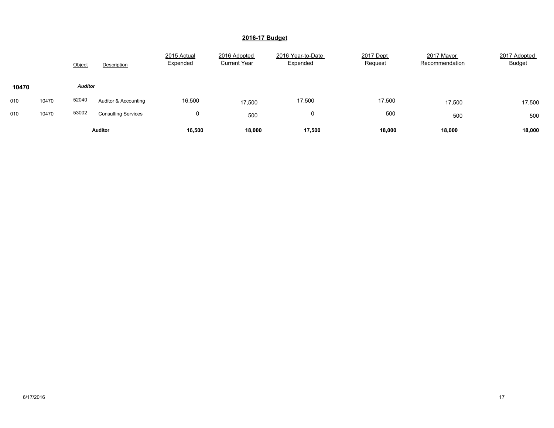|       |       | Object         | Description                | 2015 Actual<br>Expended | 2016 Adopted<br><b>Current Year</b> | 2016 Year-to-Date<br>Expended | 2017 Dept<br>Request | 2017 Mayor<br>Recommendation | 2017 Adopted<br><b>Budget</b> |
|-------|-------|----------------|----------------------------|-------------------------|-------------------------------------|-------------------------------|----------------------|------------------------------|-------------------------------|
| 10470 |       | <b>Auditor</b> |                            |                         |                                     |                               |                      |                              |                               |
| 010   | 10470 | 52040          | Auditor & Accounting       | 16,500                  | 17,500                              | 17,500                        | 17,500               | 17,500                       | 17,500                        |
| 010   | 10470 | 53002          | <b>Consulting Services</b> | 0                       | 500                                 | 0                             | 500                  | 500                          | 500                           |
|       |       |                | <b>Auditor</b>             | 16,500                  | 18,000                              | 17,500                        | 18,000               | 18,000                       | 18,000                        |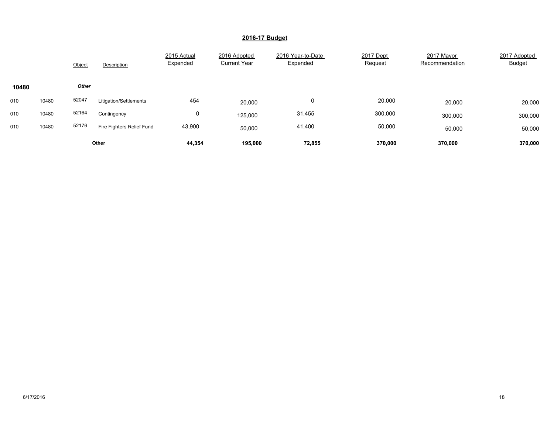|       |       | Object       | Description               | 2015 Actual<br>Expended | 2016 Adopted<br><b>Current Year</b> | 2016 Year-to-Date<br>Expended | 2017 Dept<br>Request | 2017 Mayor<br>Recommendation | 2017 Adopted<br><b>Budget</b> |
|-------|-------|--------------|---------------------------|-------------------------|-------------------------------------|-------------------------------|----------------------|------------------------------|-------------------------------|
| 10480 |       | <b>Other</b> |                           |                         |                                     |                               |                      |                              |                               |
| 010   | 10480 | 52047        | Litigation/Settlements    | 454                     | 20,000                              | 0                             | 20,000               | 20,000                       | 20,000                        |
| 010   | 10480 | 52164        | Contingency               | 0                       | 125,000                             | 31,455                        | 300,000              | 300,000                      | 300,000                       |
| 010   | 10480 | 52176        | Fire Fighters Relief Fund | 43,900                  | 50,000                              | 41,400                        | 50,000               | 50,000                       | 50,000                        |
|       |       |              | Other                     | 44,354                  | 195.000                             | 72,855                        | 370.000              | 370,000                      | 370.000                       |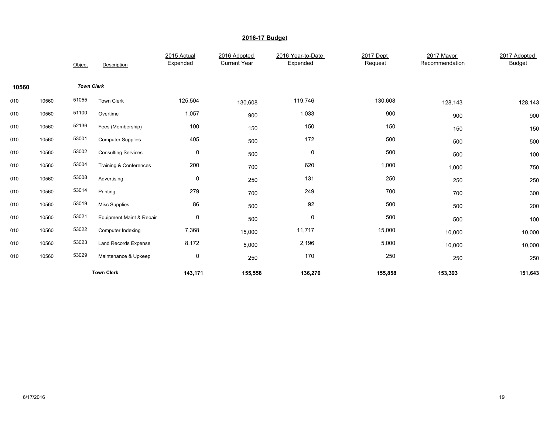|       |       | Object            | Description                 | 2015 Actual<br>Expended | 2016 Adopted<br><b>Current Year</b> | 2016 Year-to-Date<br>Expended | 2017 Dept<br>Request | 2017 Mayor<br>Recommendation | 2017 Adopted<br><b>Budget</b> |
|-------|-------|-------------------|-----------------------------|-------------------------|-------------------------------------|-------------------------------|----------------------|------------------------------|-------------------------------|
| 10560 |       | <b>Town Clerk</b> |                             |                         |                                     |                               |                      |                              |                               |
| 010   | 10560 | 51055             | Town Clerk                  | 125,504                 | 130,608                             | 119,746                       | 130,608              | 128,143                      | 128,143                       |
| 010   | 10560 | 51100             | Overtime                    | 1,057                   | 900                                 | 1,033                         | 900                  | 900                          | 900                           |
| 010   | 10560 | 52136             | Fees (Membership)           | 100                     | 150                                 | 150                           | 150                  | 150                          | 150                           |
| 010   | 10560 | 53001             | <b>Computer Supplies</b>    | 405                     | 500                                 | 172                           | 500                  | 500                          | 500                           |
| 010   | 10560 | 53002             | <b>Consulting Services</b>  | 0                       | 500                                 | $\pmb{0}$                     | 500                  | 500                          | 100                           |
| 010   | 10560 | 53004             | Training & Conferences      | 200                     | 700                                 | 620                           | 1,000                | 1,000                        | 750                           |
| 010   | 10560 | 53008             | Advertising                 | 0                       | 250                                 | 131                           | 250                  | 250                          | 250                           |
| 010   | 10560 | 53014             | Printing                    | 279                     | 700                                 | 249                           | 700                  | 700                          | 300                           |
| 010   | 10560 | 53019             | <b>Misc Supplies</b>        | 86                      | 500                                 | 92                            | 500                  | 500                          | 200                           |
| 010   | 10560 | 53021             | Equipment Maint & Repair    | 0                       | 500                                 | $\pmb{0}$                     | 500                  | 500                          | 100                           |
| 010   | 10560 | 53022             | Computer Indexing           | 7,368                   | 15,000                              | 11,717                        | 15,000               | 10,000                       | 10,000                        |
| 010   | 10560 | 53023             | <b>Land Records Expense</b> | 8,172                   | 5,000                               | 2,196                         | 5,000                | 10,000                       | 10,000                        |
| 010   | 10560 | 53029             | Maintenance & Upkeep        | 0                       | 250                                 | 170                           | 250                  | 250                          | 250                           |
|       |       |                   | <b>Town Clerk</b>           | 143,171                 | 155,558                             | 136,276                       | 155,858              | 153,393                      | 151,643                       |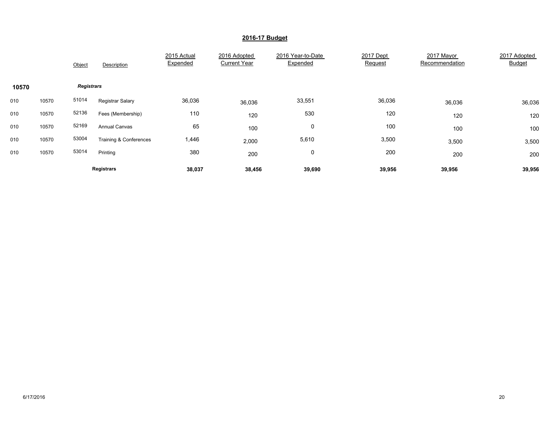|       |       | Object            | Description            | 2015 Actual<br>Expended | 2016 Adopted<br><b>Current Year</b> | 2016 Year-to-Date<br>Expended | 2017 Dept<br>Request | 2017 Mayor<br>Recommendation | 2017 Adopted<br><b>Budget</b> |
|-------|-------|-------------------|------------------------|-------------------------|-------------------------------------|-------------------------------|----------------------|------------------------------|-------------------------------|
| 10570 |       | <b>Registrars</b> |                        |                         |                                     |                               |                      |                              |                               |
| 010   | 10570 | 51014             | Registrar Salary       | 36,036                  | 36,036                              | 33,551                        | 36,036               | 36,036                       | 36,036                        |
| 010   | 10570 | 52136             | Fees (Membership)      | 110                     | 120                                 | 530                           | 120                  | 120                          | 120                           |
| 010   | 10570 | 52169             | <b>Annual Canvas</b>   | 65                      | 100                                 | 0                             | 100                  | 100                          | 100                           |
| 010   | 10570 | 53004             | Training & Conferences | 1,446                   | 2,000                               | 5,610                         | 3,500                | 3,500                        | 3,500                         |
| 010   | 10570 | 53014             | Printing               | 380                     | 200                                 | 0                             | 200                  | 200                          | 200                           |
|       |       |                   | <b>Registrars</b>      | 38,037                  | 38,456                              | 39,690                        | 39,956               | 39,956                       | 39,956                        |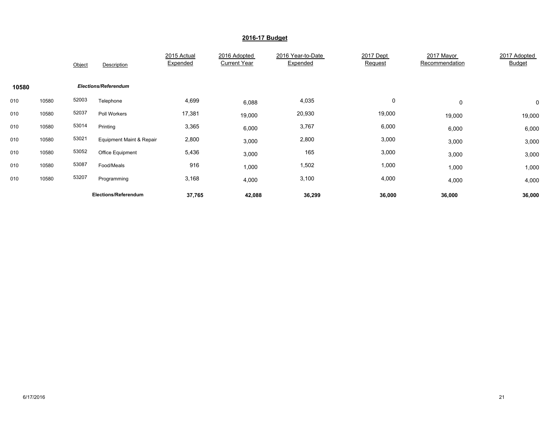|       |       | Object | Description                 | 2015 Actual<br>Expended | 2016 Adopted<br><b>Current Year</b> | 2016 Year-to-Date<br>Expended | 2017 Dept<br>Request | 2017 Mayor<br>Recommendation | 2017 Adopted<br><b>Budget</b> |
|-------|-------|--------|-----------------------------|-------------------------|-------------------------------------|-------------------------------|----------------------|------------------------------|-------------------------------|
| 10580 |       |        | <b>Elections/Referendum</b> |                         |                                     |                               |                      |                              |                               |
| 010   | 10580 | 52003  | Telephone                   | 4,699                   | 6,088                               | 4,035                         | 0                    | 0                            | $\mathbf 0$                   |
| 010   | 10580 | 52037  | Poll Workers                | 17,381                  | 19,000                              | 20,930                        | 19,000               | 19,000                       | 19,000                        |
| 010   | 10580 | 53014  | Printing                    | 3,365                   | 6,000                               | 3,767                         | 6,000                | 6,000                        | 6,000                         |
| 010   | 10580 | 53021  | Equipment Maint & Repair    | 2,800                   | 3,000                               | 2,800                         | 3,000                | 3,000                        | 3,000                         |
| 010   | 10580 | 53052  | Office Equipment            | 5,436                   | 3,000                               | 165                           | 3,000                | 3,000                        | 3,000                         |
| 010   | 10580 | 53087  | Food/Meals                  | 916                     | 1,000                               | 1,502                         | 1,000                | 1,000                        | 1,000                         |
| 010   | 10580 | 53207  | Programming                 | 3,168                   | 4,000                               | 3,100                         | 4,000                | 4,000                        | 4,000                         |
|       |       |        | Elections/Referendum        | 37,765                  | 42,088                              | 36,299                        | 36,000               | 36,000                       | 36,000                        |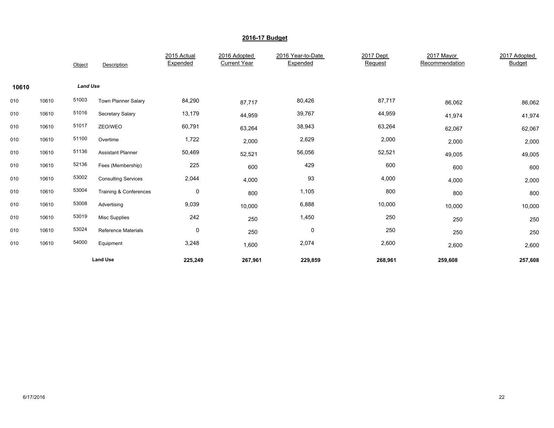|       |       | Object          | Description                | 2015 Actual<br>Expended | 2016 Adopted<br><b>Current Year</b> | 2016 Year-to-Date<br>Expended | 2017 Dept<br>Request | 2017 Mayor<br>Recommendation | 2017 Adopted<br><b>Budget</b> |
|-------|-------|-----------------|----------------------------|-------------------------|-------------------------------------|-------------------------------|----------------------|------------------------------|-------------------------------|
| 10610 |       | <b>Land Use</b> |                            |                         |                                     |                               |                      |                              |                               |
| 010   | 10610 | 51003           | <b>Town Planner Salary</b> | 84,290                  | 87,717                              | 80,426                        | 87,717               | 86,062                       | 86,062                        |
| 010   | 10610 | 51016           | Secretary Salary           | 13,179                  | 44,959                              | 39,767                        | 44,959               | 41,974                       | 41,974                        |
| 010   | 10610 | 51017           | ZEO/WEO                    | 60,791                  | 63,264                              | 38,943                        | 63,264               | 62,067                       | 62,067                        |
| 010   | 10610 | 51100           | Overtime                   | 1,722                   | 2,000                               | 2,629                         | 2,000                | 2,000                        | 2,000                         |
| 010   | 10610 | 51136           | <b>Assistant Planner</b>   | 50,469                  | 52,521                              | 56,056                        | 52,521               | 49,005                       | 49,005                        |
| 010   | 10610 | 52136           | Fees (Membership)          | 225                     | 600                                 | 429                           | 600                  | 600                          | 600                           |
| 010   | 10610 | 53002           | <b>Consulting Services</b> | 2,044                   | 4,000                               | 93                            | 4,000                | 4,000                        | 2,000                         |
| 010   | 10610 | 53004           | Training & Conferences     | 0                       | 800                                 | 1,105                         | 800                  | 800                          | 800                           |
| 010   | 10610 | 53008           | Advertising                | 9,039                   | 10,000                              | 6,888                         | 10,000               | 10,000                       | 10,000                        |
| 010   | 10610 | 53019           | <b>Misc Supplies</b>       | 242                     | 250                                 | 1,450                         | 250                  | 250                          | 250                           |
| 010   | 10610 | 53024           | <b>Reference Materials</b> | 0                       | 250                                 | $\mathbf 0$                   | 250                  | 250                          | 250                           |
| 010   | 10610 | 54000           | Equipment                  | 3,248                   | 1,600                               | 2,074                         | 2,600                | 2,600                        | 2,600                         |
|       |       |                 | <b>Land Use</b>            | 225,249                 | 267,961                             | 229,859                       | 268,961              | 259,608                      | 257,608                       |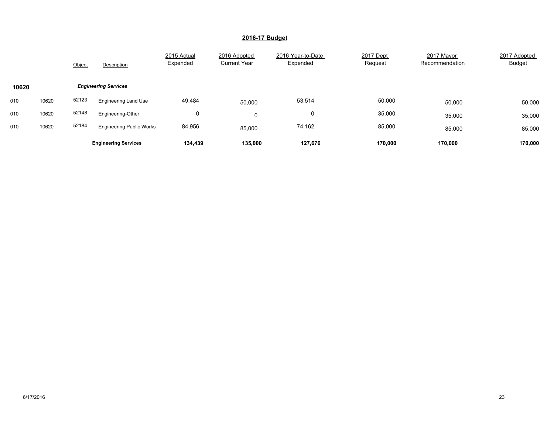|       |       | Object | Description                     | 2015 Actual<br>Expended | 2016 Adopted<br><b>Current Year</b> | 2016 Year-to-Date<br>Expended | 2017 Dept<br>Request | 2017 Mayor<br>Recommendation | 2017 Adopted<br><b>Budget</b> |
|-------|-------|--------|---------------------------------|-------------------------|-------------------------------------|-------------------------------|----------------------|------------------------------|-------------------------------|
| 10620 |       |        | <b>Engineering Services</b>     |                         |                                     |                               |                      |                              |                               |
| 010   | 10620 | 52123  | <b>Engineering Land Use</b>     | 49,484                  | 50,000                              | 53,514                        | 50,000               | 50,000                       | 50,000                        |
| 010   | 10620 | 52148  | Engineering-Other               | 0                       | 0                                   | 0                             | 35,000               | 35,000                       | 35,000                        |
| 010   | 10620 | 52184  | <b>Engineering Public Works</b> | 84,956                  | 85,000                              | 74,162                        | 85,000               | 85,000                       | 85,000                        |
|       |       |        | <b>Engineering Services</b>     | 134,439                 | 135,000                             | 127.676                       | 170,000              | 170.000                      | 170,000                       |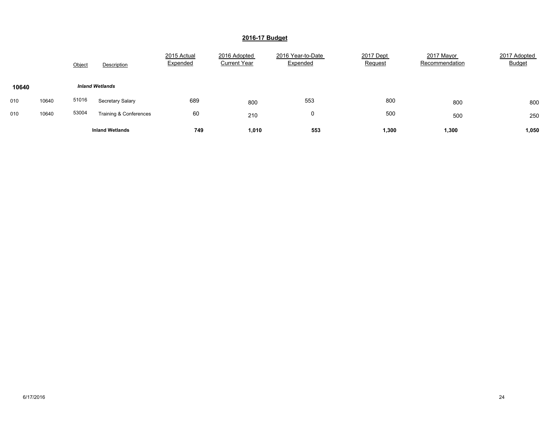|       |       | Object | Description            | 2015 Actual<br>Expended | 2016 Adopted<br><b>Current Year</b> | 2016 Year-to-Date<br>Expended | 2017 Dept<br><b>Request</b> | 2017 Mayor<br>Recommendation | 2017 Adopted<br><b>Budget</b> |
|-------|-------|--------|------------------------|-------------------------|-------------------------------------|-------------------------------|-----------------------------|------------------------------|-------------------------------|
| 10640 |       |        | <b>Inland Wetlands</b> |                         |                                     |                               |                             |                              |                               |
| 010   | 10640 | 51016  | Secretary Salary       | 689                     | 800                                 | 553                           | 800                         | 800                          | 800                           |
| 010   | 10640 | 53004  | Training & Conferences | 60                      | 210                                 | 0                             | 500                         | 500                          | 250                           |
|       |       |        | <b>Inland Wetlands</b> | 749                     | 1,010                               | 553                           | 1,300                       | 1,300                        | 1,050                         |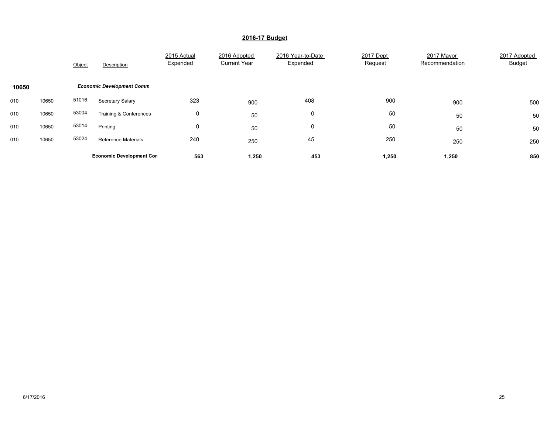|       |       | Object | Description                      | 2015 Actual<br>Expended | 2016 Adopted<br><b>Current Year</b> | 2016 Year-to-Date<br>Expended | 2017 Dept<br>Request | 2017 Mayor<br>Recommendation | 2017 Adopted<br><b>Budget</b> |
|-------|-------|--------|----------------------------------|-------------------------|-------------------------------------|-------------------------------|----------------------|------------------------------|-------------------------------|
| 10650 |       |        | <b>Economic Development Comm</b> |                         |                                     |                               |                      |                              |                               |
| 010   | 10650 | 51016  | Secretary Salary                 | 323                     | 900                                 | 408                           | 900                  | 900                          | 500                           |
| 010   | 10650 | 53004  | Training & Conferences           | 0                       | 50                                  | 0                             | 50                   | 50                           | 50                            |
| 010   | 10650 | 53014  | Printing                         | 0                       | 50                                  | 0                             | 50                   | 50                           | 50                            |
| 010   | 10650 | 53024  | <b>Reference Materials</b>       | 240                     | 250                                 | 45                            | 250                  | 250                          | 250                           |
|       |       |        | <b>Economic Development Con</b>  | 563                     | 1,250                               | 453                           | 1,250                | 1,250                        | 850                           |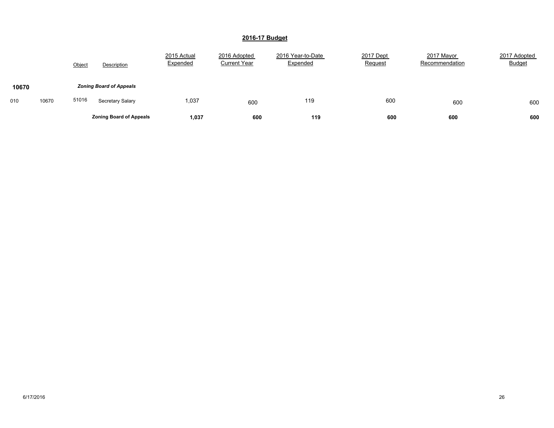|              | Object | Description                    | 2015 Actual<br>Expended | 2016 Adopted<br><b>Current Year</b> | 2016 Year-to-Date<br>Expended | 2017 Dept<br>Request | 2017 Mayor<br>Recommendation | 2017 Adopted<br><b>Budget</b> |
|--------------|--------|--------------------------------|-------------------------|-------------------------------------|-------------------------------|----------------------|------------------------------|-------------------------------|
| 10670        |        | <b>Zoning Board of Appeals</b> |                         |                                     |                               |                      |                              |                               |
| 10670<br>010 | 51016  | Secretary Salary               | 1,037                   | 600                                 | 119                           | 600                  | 600                          | 600                           |
|              |        | <b>Zoning Board of Appeals</b> | 1,037                   | 600                                 | 119                           | 600                  | 600                          | 600                           |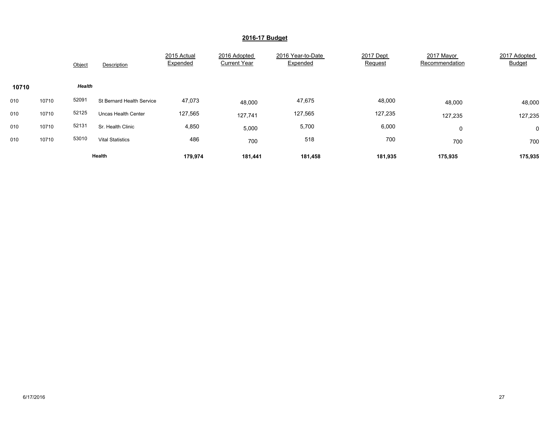|       |       | Object | Description                      | 2015 Actual<br>Expended | 2016 Adopted<br><b>Current Year</b> | 2016 Year-to-Date<br>Expended | 2017 Dept<br>Request | 2017 Mayor<br>Recommendation | 2017 Adopted<br>Budget |
|-------|-------|--------|----------------------------------|-------------------------|-------------------------------------|-------------------------------|----------------------|------------------------------|------------------------|
| 10710 |       | Health |                                  |                         |                                     |                               |                      |                              |                        |
| 010   | 10710 | 52091  | <b>St Bernard Health Service</b> | 47,073                  | 48,000                              | 47,675                        | 48,000               | 48,000                       | 48,000                 |
| 010   | 10710 | 52125  | <b>Uncas Health Center</b>       | 127,565                 | 127,741                             | 127,565                       | 127,235              | 127,235                      | 127,235                |
| 010   | 10710 | 52131  | Sr. Health Clinic                | 4,850                   | 5,000                               | 5,700                         | 6,000                | 0                            | $\mathbf 0$            |
| 010   | 10710 | 53010  | <b>Vital Statistics</b>          | 486                     | 700                                 | 518                           | 700                  | 700                          | 700                    |
|       |       |        | Health                           | 179,974                 | 181,441                             | 181,458                       | 181,935              | 175,935                      | 175,935                |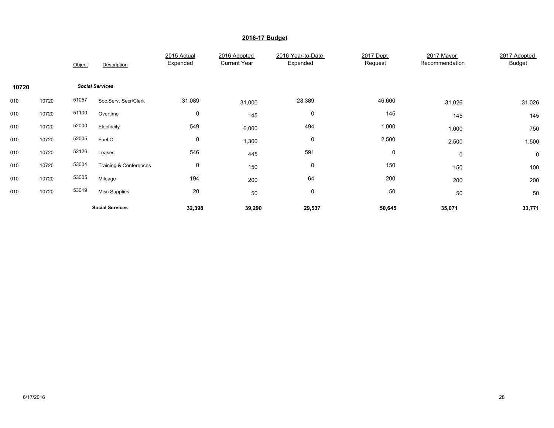|       |       | Object | Description                       | 2015 Actual<br>Expended | 2016 Adopted<br><b>Current Year</b> | 2016 Year-to-Date<br>Expended | 2017 Dept<br>Request | 2017 Mayor<br>Recommendation | 2017 Adopted<br><b>Budget</b> |
|-------|-------|--------|-----------------------------------|-------------------------|-------------------------------------|-------------------------------|----------------------|------------------------------|-------------------------------|
| 10720 |       |        | <b>Social Services</b>            |                         |                                     |                               |                      |                              |                               |
| 010   | 10720 | 51057  | Soc.Serv. Secr/Clerk              | 31,089                  | 31,000                              | 28,389                        | 46,600               | 31,026                       | 31,026                        |
| 010   | 10720 | 51100  | Overtime                          | 0                       | 145                                 | 0                             | 145                  | 145                          | 145                           |
| 010   | 10720 | 52000  | Electricity                       | 549                     | 6,000                               | 494                           | 1,000                | 1,000                        | 750                           |
| 010   | 10720 | 52005  | Fuel Oil                          | 0                       | 1,300                               | 0                             | 2,500                | 2,500                        | 1,500                         |
| 010   | 10720 | 52126  | Leases                            | 546                     | 445                                 | 591                           | 0                    | 0                            | $\mathbf 0$                   |
| 010   | 10720 | 53004  | <b>Training &amp; Conferences</b> | 0                       | 150                                 | 0                             | 150                  | 150                          | 100                           |
| 010   | 10720 | 53005  | Mileage                           | 194                     | 200                                 | 64                            | 200                  | 200                          | 200                           |
| 010   | 10720 | 53019  | <b>Misc Supplies</b>              | $20\,$                  | 50                                  | $\pmb{0}$                     | 50                   | 50                           | 50                            |
|       |       |        | <b>Social Services</b>            | 32,398                  | 39,290                              | 29,537                        | 50,645               | 35,071                       | 33,771                        |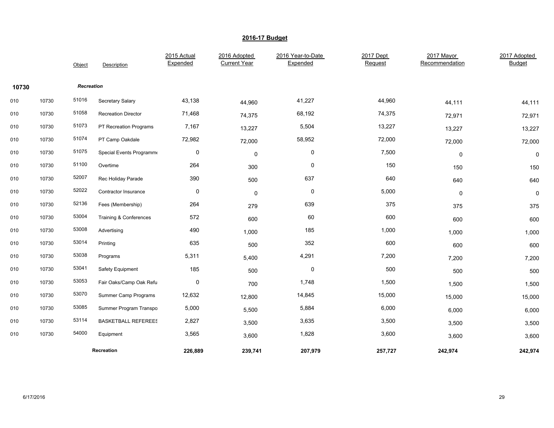|       |       | Object     | Description                | 2015 Actual<br>Expended | 2016 Adopted<br><b>Current Year</b> | 2016 Year-to-Date<br>Expended | 2017 Dept<br>Request | 2017 Mayor<br>Recommendation | 2017 Adopted<br><b>Budget</b> |
|-------|-------|------------|----------------------------|-------------------------|-------------------------------------|-------------------------------|----------------------|------------------------------|-------------------------------|
| 10730 |       | Recreation |                            |                         |                                     |                               |                      |                              |                               |
| 010   | 10730 | 51016      | Secretary Salary           | 43,138                  | 44,960                              | 41,227                        | 44,960               | 44,111                       | 44,111                        |
| 010   | 10730 | 51058      | <b>Recreation Director</b> | 71,468                  | 74,375                              | 68,192                        | 74,375               | 72,971                       | 72,971                        |
| 010   | 10730 | 51073      | PT Recreation Programs     | 7,167                   | 13,227                              | 5,504                         | 13,227               | 13,227                       | 13,227                        |
| 010   | 10730 | 51074      | PT Camp Oakdale            | 72,982                  | 72,000                              | 58,952                        | 72,000               | 72,000                       | 72,000                        |
| 010   | 10730 | 51075      | Special Events Programme   | $\mathbf 0$             | $\mathbf 0$                         | $\mathbf 0$                   | 7,500                | 0                            | $\mathbf 0$                   |
| 010   | 10730 | 51100      | Overtime                   | 264                     | 300                                 | 0                             | 150                  | 150                          | 150                           |
| 010   | 10730 | 52007      | Rec Holiday Parade         | 390                     | 500                                 | 637                           | 640                  | 640                          | 640                           |
| 010   | 10730 | 52022      | Contractor Insurance       | 0                       | 0                                   | 0                             | 5,000                | 0                            | 0                             |
| 010   | 10730 | 52136      | Fees (Membership)          | 264                     | 279                                 | 639                           | 375                  | 375                          | 375                           |
| 010   | 10730 | 53004      | Training & Conferences     | 572                     | 600                                 | 60                            | 600                  | 600                          | 600                           |
| 010   | 10730 | 53008      | Advertising                | 490                     | 1,000                               | 185                           | 1,000                | 1,000                        | 1,000                         |
| 010   | 10730 | 53014      | Printing                   | 635                     | 500                                 | 352                           | 600                  | 600                          | 600                           |
| 010   | 10730 | 53038      | Programs                   | 5,311                   | 5,400                               | 4,291                         | 7,200                | 7,200                        | 7,200                         |
| 010   | 10730 | 53041      | Safety Equipment           | 185                     | 500                                 | $\mathbf 0$                   | 500                  | 500                          | 500                           |
| 010   | 10730 | 53053      | Fair Oaks/Camp Oak Refu    | 0                       | 700                                 | 1,748                         | 1,500                | 1,500                        | 1,500                         |
| 010   | 10730 | 53070      | Summer Camp Programs       | 12,632                  | 12,800                              | 14,845                        | 15,000               | 15,000                       | 15,000                        |
| 010   | 10730 | 53085      | Summer Program Transpo     | 5,000                   | 5,500                               | 5,884                         | 6,000                | 6,000                        | 6,000                         |
| 010   | 10730 | 53114      | <b>BASKETBALL REFEREES</b> | 2,827                   | 3,500                               | 3,635                         | 3,500                | 3,500                        | 3,500                         |
| 010   | 10730 | 54000      | Equipment                  | 3,565                   | 3,600                               | 1,828                         | 3,600                | 3,600                        | 3,600                         |
|       |       |            | Recreation                 | 226,889                 | 239,741                             | 207,979                       | 257,727              | 242,974                      | 242,974                       |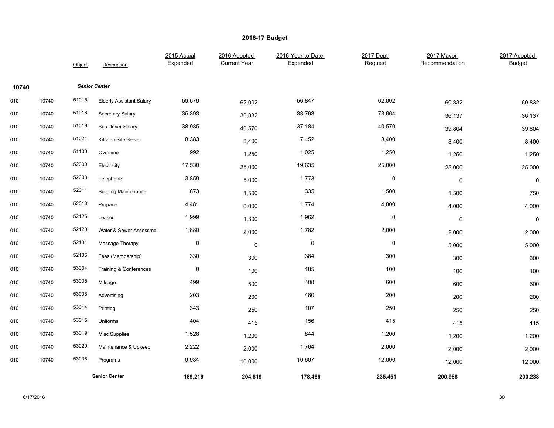|       |       | Object | Description                       | 2015 Actual<br>Expended | 2016 Adopted<br><b>Current Year</b> | 2016 Year-to-Date<br>Expended | 2017 Dept<br>Request | 2017 Mayor<br>Recommendation | 2017 Adopted<br><b>Budget</b> |
|-------|-------|--------|-----------------------------------|-------------------------|-------------------------------------|-------------------------------|----------------------|------------------------------|-------------------------------|
| 10740 |       |        | <b>Senior Center</b>              |                         |                                     |                               |                      |                              |                               |
| 010   | 10740 | 51015  | <b>Elderly Assistant Salary</b>   | 59,579                  | 62,002                              | 56,847                        | 62,002               | 60,832                       | 60,832                        |
| 010   | 10740 | 51016  | Secretary Salary                  | 35,393                  | 36,832                              | 33,763                        | 73,664               | 36,137                       | 36,137                        |
| 010   | 10740 | 51019  | <b>Bus Driver Salary</b>          | 38,985                  | 40,570                              | 37,184                        | 40,570               | 39,804                       | 39,804                        |
| 010   | 10740 | 51024  | Kitchen Site Server               | 8,383                   | 8,400                               | 7,452                         | 8,400                | 8,400                        | 8,400                         |
| 010   | 10740 | 51100  | Overtime                          | 992                     | 1,250                               | 1,025                         | 1,250                | 1,250                        | 1,250                         |
| 010   | 10740 | 52000  | Electricity                       | 17,530                  | 25,000                              | 19,635                        | 25,000               | 25,000                       | 25,000                        |
| 010   | 10740 | 52003  | Telephone                         | 3,859                   | 5,000                               | 1,773                         | $\pmb{0}$            | $\pmb{0}$                    | $\mathsf 0$                   |
| 010   | 10740 | 52011  | <b>Building Maintenance</b>       | 673                     | 1,500                               | 335                           | 1,500                | 1,500                        | 750                           |
| 010   | 10740 | 52013  | Propane                           | 4,481                   | 6,000                               | 1,774                         | 4,000                | 4,000                        | 4,000                         |
| 010   | 10740 | 52126  | Leases                            | 1,999                   | 1,300                               | 1,962                         | $\pmb{0}$            | 0                            | $\pmb{0}$                     |
| 010   | 10740 | 52128  | Water & Sewer Assessmer           | 1,880                   | 2,000                               | 1,782                         | 2,000                | 2,000                        | 2,000                         |
| 010   | 10740 | 52131  | Massage Therapy                   | $\pmb{0}$               | 0                                   | $\mathsf 0$                   | $\pmb{0}$            | 5,000                        | 5,000                         |
| 010   | 10740 | 52136  | Fees (Membership)                 | 330                     | 300                                 | 384                           | 300                  | 300                          | 300                           |
| 010   | 10740 | 53004  | <b>Training &amp; Conferences</b> | 0                       | 100                                 | 185                           | 100                  | 100                          | 100                           |
| 010   | 10740 | 53005  | Mileage                           | 499                     | 500                                 | 408                           | 600                  | 600                          | 600                           |
| 010   | 10740 | 53008  | Advertising                       | 203                     | 200                                 | 480                           | 200                  | 200                          | 200                           |
| 010   | 10740 | 53014  | Printing                          | 343                     | 250                                 | 107                           | 250                  | 250                          | 250                           |
| 010   | 10740 | 53015  | Uniforms                          | 404                     | 415                                 | 156                           | 415                  | 415                          | 415                           |
| 010   | 10740 | 53019  | Misc Supplies                     | 1,528                   | 1,200                               | 844                           | 1,200                | 1,200                        | 1,200                         |
| 010   | 10740 | 53029  | Maintenance & Upkeep              | 2,222                   | 2,000                               | 1,764                         | 2,000                | 2,000                        | 2,000                         |
| 010   | 10740 | 53038  | Programs                          | 9,934                   | 10,000                              | 10,607                        | 12,000               | 12,000                       | 12,000                        |
|       |       |        | <b>Senior Center</b>              | 189,216                 | 204,819                             | 178,466                       | 235,451              | 200,988                      | 200,238                       |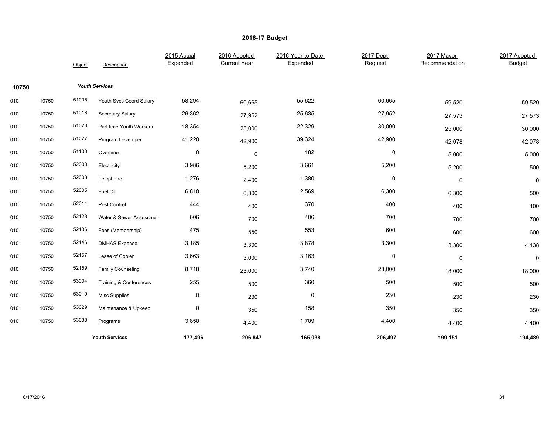|       |       | Object | Description              | 2015 Actual<br>Expended | 2016 Adopted<br><b>Current Year</b> | 2016 Year-to-Date<br>Expended | 2017 Dept<br>Request | 2017 Mayor<br>Recommendation | 2017 Adopted<br>Budget |
|-------|-------|--------|--------------------------|-------------------------|-------------------------------------|-------------------------------|----------------------|------------------------------|------------------------|
| 10750 |       |        | <b>Youth Services</b>    |                         |                                     |                               |                      |                              |                        |
| 010   | 10750 | 51005  | Youth Svcs Coord Salary  | 58,294                  | 60,665                              | 55,622                        | 60,665               | 59,520                       | 59,520                 |
| 010   | 10750 | 51016  | Secretary Salary         | 26,362                  | 27,952                              | 25,635                        | 27,952               | 27,573                       | 27,573                 |
| 010   | 10750 | 51073  | Part time Youth Workers  | 18,354                  | 25,000                              | 22,329                        | 30,000               | 25,000                       | 30,000                 |
| 010   | 10750 | 51077  | Program Developer        | 41,220                  | 42,900                              | 39,324                        | 42,900               | 42,078                       | 42,078                 |
| 010   | 10750 | 51100  | Overtime                 | 0                       | $\mathbf 0$                         | 182                           | 0                    | 5,000                        | 5,000                  |
| 010   | 10750 | 52000  | Electricity              | 3,986                   | 5,200                               | 3,661                         | 5,200                | 5,200                        | 500                    |
| 010   | 10750 | 52003  | Telephone                | 1,276                   | 2,400                               | 1,380                         | 0                    | $\pmb{0}$                    | 0                      |
| 010   | 10750 | 52005  | Fuel Oil                 | 6,810                   | 6,300                               | 2,569                         | 6,300                | 6,300                        | 500                    |
| 010   | 10750 | 52014  | Pest Control             | 444                     | 400                                 | 370                           | 400                  | 400                          | 400                    |
| 010   | 10750 | 52128  | Water & Sewer Assessmer  | 606                     | 700                                 | 406                           | 700                  | 700                          | 700                    |
| 010   | 10750 | 52136  | Fees (Membership)        | 475                     | 550                                 | 553                           | 600                  | 600                          | 600                    |
| 010   | 10750 | 52146  | <b>DMHAS Expense</b>     | 3,185                   | 3,300                               | 3,878                         | 3,300                | 3,300                        | 4,138                  |
| 010   | 10750 | 52157  | Lease of Copier          | 3,663                   | 3,000                               | 3,163                         | 0                    | $\pmb{0}$                    | 0                      |
| 010   | 10750 | 52159  | <b>Family Counseling</b> | 8,718                   | 23,000                              | 3,740                         | 23,000               | 18,000                       | 18,000                 |
| 010   | 10750 | 53004  | Training & Conferences   | 255                     | 500                                 | 360                           | 500                  | 500                          | 500                    |
| 010   | 10750 | 53019  | <b>Misc Supplies</b>     | 0                       | 230                                 | $\pmb{0}$                     | 230                  | 230                          | 230                    |
| 010   | 10750 | 53029  | Maintenance & Upkeep     | 0                       | 350                                 | 158                           | 350                  | 350                          | 350                    |
| 010   | 10750 | 53038  | Programs                 | 3,850                   | 4,400                               | 1,709                         | 4,400                | 4,400                        | 4,400                  |
|       |       |        | <b>Youth Services</b>    | 177,496                 | 206,847                             | 165,038                       | 206,497              | 199,151                      | 194,489                |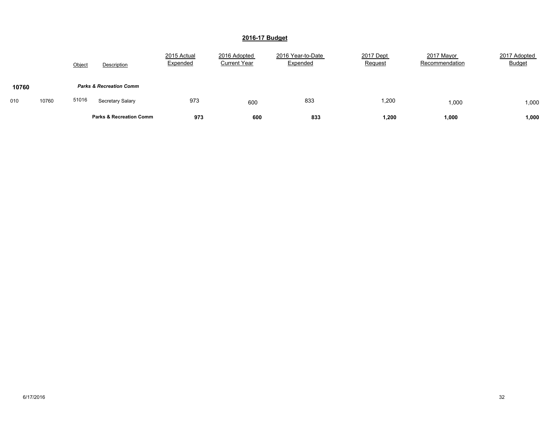|              | Object | Description                        | 2015 Actual<br>Expended | 2016 Adopted<br><b>Current Year</b> | 2016 Year-to-Date<br>Expended | 2017 Dept<br>Request | 2017 Mayor<br>Recommendation | 2017 Adopted<br><b>Budget</b> |
|--------------|--------|------------------------------------|-------------------------|-------------------------------------|-------------------------------|----------------------|------------------------------|-------------------------------|
| 10760        |        | <b>Parks &amp; Recreation Comm</b> |                         |                                     |                               |                      |                              |                               |
| 10760<br>010 | 51016  | Secretary Salary                   | 973                     | 600                                 | 833                           | 1,200                | 1,000                        | 1,000                         |
|              |        | <b>Parks &amp; Recreation Comm</b> | 973                     | 600                                 | 833                           | 1,200                | 1,000                        | 1,000                         |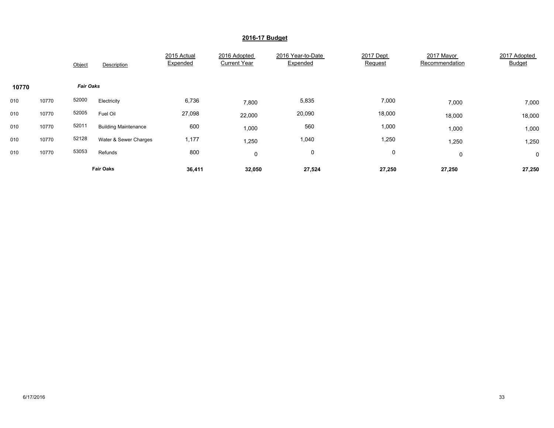|       |       | Object           | Description                 | 2015 Actual<br>Expended | 2016 Adopted<br><b>Current Year</b> | 2016 Year-to-Date<br>Expended | 2017 Dept<br>Request | 2017 Mayor<br>Recommendation | 2017 Adopted<br><b>Budget</b> |
|-------|-------|------------------|-----------------------------|-------------------------|-------------------------------------|-------------------------------|----------------------|------------------------------|-------------------------------|
| 10770 |       | <b>Fair Oaks</b> |                             |                         |                                     |                               |                      |                              |                               |
| 010   | 10770 | 52000            | Electricity                 | 6,736                   | 7,800                               | 5,835                         | 7,000                | 7,000                        | 7,000                         |
| 010   | 10770 | 52005            | Fuel Oil                    | 27,098                  | 22,000                              | 20,090                        | 18,000               | 18,000                       | 18,000                        |
| 010   | 10770 | 52011            | <b>Building Maintenance</b> | 600                     | 1,000                               | 560                           | 1,000                | 1,000                        | 1,000                         |
| 010   | 10770 | 52128            | Water & Sewer Charges       | 1,177                   | 1,250                               | 1,040                         | 1,250                | 1,250                        | 1,250                         |
| 010   | 10770 | 53053            | Refunds                     | 800                     | 0                                   | 0                             | 0                    | $\mathbf 0$                  | $\mathbf 0$                   |
|       |       |                  | <b>Fair Oaks</b>            | 36,411                  | 32,050                              | 27,524                        | 27,250               | 27,250                       | 27,250                        |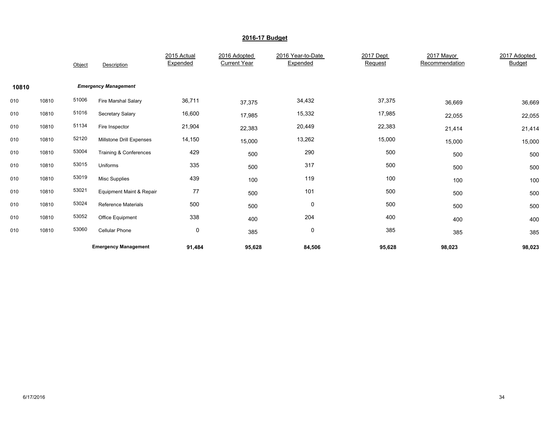|       |       | Object | Description                 | 2015 Actual<br>Expended | 2016 Adopted<br><b>Current Year</b> | 2016 Year-to-Date<br>Expended | 2017 Dept<br>Request | 2017 Mayor<br>Recommendation | 2017 Adopted<br><b>Budget</b> |
|-------|-------|--------|-----------------------------|-------------------------|-------------------------------------|-------------------------------|----------------------|------------------------------|-------------------------------|
| 10810 |       |        | <b>Emergency Management</b> |                         |                                     |                               |                      |                              |                               |
| 010   | 10810 | 51006  | Fire Marshal Salary         | 36,711                  | 37,375                              | 34,432                        | 37,375               | 36,669                       | 36,669                        |
| 010   | 10810 | 51016  | Secretary Salary            | 16,600                  | 17,985                              | 15,332                        | 17,985               | 22,055                       | 22,055                        |
| 010   | 10810 | 51134  | Fire Inspector              | 21,904                  | 22,383                              | 20,449                        | 22,383               | 21,414                       | 21,414                        |
| 010   | 10810 | 52120  | Millstone Drill Expenses    | 14,150                  | 15,000                              | 13,262                        | 15,000               | 15,000                       | 15,000                        |
| 010   | 10810 | 53004  | Training & Conferences      | 429                     | 500                                 | 290                           | 500                  | 500                          | 500                           |
| 010   | 10810 | 53015  | Uniforms                    | 335                     | 500                                 | 317                           | 500                  | 500                          | 500                           |
| 010   | 10810 | 53019  | <b>Misc Supplies</b>        | 439                     | 100                                 | 119                           | 100                  | 100                          | 100                           |
| 010   | 10810 | 53021  | Equipment Maint & Repair    | 77                      | 500                                 | 101                           | 500                  | 500                          | 500                           |
| 010   | 10810 | 53024  | <b>Reference Materials</b>  | 500                     | 500                                 | 0                             | 500                  | 500                          | 500                           |
| 010   | 10810 | 53052  | Office Equipment            | 338                     | 400                                 | 204                           | 400                  | 400                          | 400                           |
| 010   | 10810 | 53060  | <b>Cellular Phone</b>       | 0                       | 385                                 | $\pmb{0}$                     | 385                  | 385                          | 385                           |
|       |       |        | <b>Emergency Management</b> | 91,484                  | 95,628                              | 84,506                        | 95,628               | 98,023                       | 98,023                        |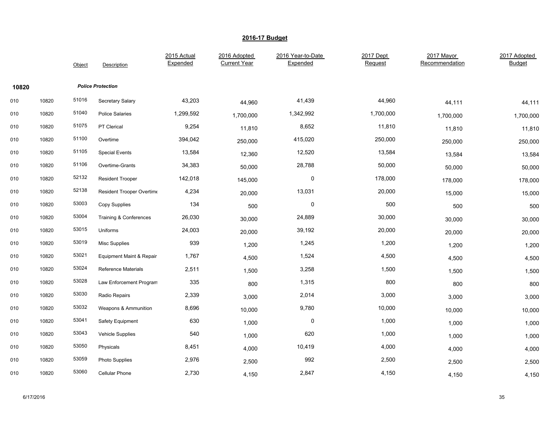|       |       | Object | Description               | 2015 Actual<br>Expended | 2016 Adopted<br><b>Current Year</b> | 2016 Year-to-Date<br>Expended | 2017 Dept<br>Request | 2017 Mayor<br>Recommendation | 2017 Adopted<br><b>Budget</b> |
|-------|-------|--------|---------------------------|-------------------------|-------------------------------------|-------------------------------|----------------------|------------------------------|-------------------------------|
| 10820 |       |        | <b>Police Protection</b>  |                         |                                     |                               |                      |                              |                               |
| 010   | 10820 | 51016  | Secretary Salary          | 43,203                  | 44,960                              | 41,439                        | 44,960               | 44,111                       | 44,111                        |
| 010   | 10820 | 51040  | <b>Police Salaries</b>    | 1,299,592               | 1,700,000                           | 1,342,992                     | 1,700,000            | 1,700,000                    | 1,700,000                     |
| 010   | 10820 | 51075  | PT Clerical               | 9,254                   | 11,810                              | 8,652                         | 11,810               | 11,810                       | 11,810                        |
| 010   | 10820 | 51100  | Overtime                  | 394,042                 | 250,000                             | 415,020                       | 250,000              | 250,000                      | 250,000                       |
| 010   | 10820 | 51105  | <b>Special Events</b>     | 13,584                  | 12,360                              | 12,520                        | 13,584               | 13,584                       | 13,584                        |
| 010   | 10820 | 51106  | Overtime-Grants           | 34,383                  | 50,000                              | 28,788                        | 50,000               | 50,000                       | 50,000                        |
| 010   | 10820 | 52132  | <b>Resident Trooper</b>   | 142,018                 | 145,000                             | $\mathbf 0$                   | 178,000              | 178,000                      | 178,000                       |
| 010   | 10820 | 52138  | Resident Trooper Overtime | 4,234                   | 20,000                              | 13,031                        | 20,000               | 15,000                       | 15,000                        |
| 010   | 10820 | 53003  | Copy Supplies             | 134                     | 500                                 | $\mathbf 0$                   | 500                  | 500                          | 500                           |
| 010   | 10820 | 53004  | Training & Conferences    | 26,030                  | 30,000                              | 24,889                        | 30,000               | 30,000                       | 30,000                        |
| 010   | 10820 | 53015  | Uniforms                  | 24,003                  | 20,000                              | 39,192                        | 20,000               | 20,000                       | 20,000                        |
| 010   | 10820 | 53019  | Misc Supplies             | 939                     | 1,200                               | 1,245                         | 1,200                | 1,200                        | 1,200                         |
| 010   | 10820 | 53021  | Equipment Maint & Repair  | 1,767                   | 4,500                               | 1,524                         | 4,500                | 4,500                        | 4,500                         |
| 010   | 10820 | 53024  | Reference Materials       | 2,511                   | 1,500                               | 3,258                         | 1,500                | 1,500                        | 1,500                         |
| 010   | 10820 | 53028  | Law Enforcement Program   | 335                     | 800                                 | 1,315                         | 800                  | 800                          | 800                           |
| 010   | 10820 | 53030  | Radio Repairs             | 2,339                   | 3,000                               | 2,014                         | 3,000                | 3,000                        | 3,000                         |
| 010   | 10820 | 53032  | Weapons & Ammunition      | 8,696                   | 10,000                              | 9,780                         | 10,000               | 10,000                       | 10,000                        |
| 010   | 10820 | 53041  | Safety Equipment          | 630                     | 1,000                               | $\pmb{0}$                     | 1,000                | 1,000                        | 1,000                         |
| 010   | 10820 | 53043  | <b>Vehicle Supplies</b>   | 540                     | 1,000                               | 620                           | 1,000                | 1,000                        | 1,000                         |
| 010   | 10820 | 53050  | Physicals                 | 8,451                   | 4,000                               | 10,419                        | 4,000                | 4,000                        | 4,000                         |
| 010   | 10820 | 53059  | Photo Supplies            | 2,976                   | 2,500                               | 992                           | 2,500                | 2,500                        | 2,500                         |
| 010   | 10820 | 53060  | Cellular Phone            | 2,730                   | 4,150                               | 2,847                         | 4,150                | 4,150                        | 4,150                         |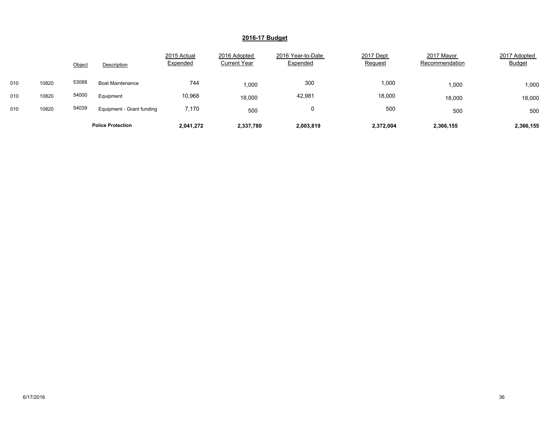|     |       | Object | Description               | 2015 Actual<br>Expended | 2016 Adopted<br><b>Current Year</b> | 2016 Year-to-Date<br>Expended | 2017 Dept<br>Request | 2017 Mayor<br>Recommendation | 2017 Adopted<br><b>Budget</b> |
|-----|-------|--------|---------------------------|-------------------------|-------------------------------------|-------------------------------|----------------------|------------------------------|-------------------------------|
| 010 | 10820 | 53088  | <b>Boat Maintenance</b>   | 744                     | 1,000                               | 300                           | 000,1                | 1,000                        | 1,000                         |
| 010 | 10820 | 54000  | Equipment                 | 10,968                  | 18,000                              | 42,981                        | 18,000               | 18,000                       | 18,000                        |
| 010 | 10820 | 54039  | Equipment - Grant funding | 7,170                   | 500                                 | 0                             | 500                  | 500                          | 500                           |
|     |       |        | <b>Police Protection</b>  | 2,041,272               | 2,337,780                           | 2,003,819                     | 2,372,004            | 2,366,155                    | 2,366,155                     |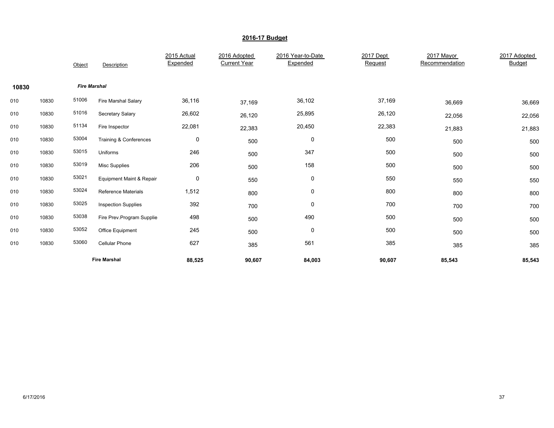|       |       | Object              | Description                         | 2015 Actual<br>Expended | 2016 Adopted<br><b>Current Year</b> | 2016 Year-to-Date<br>Expended | 2017 Dept<br>Request | 2017 Mayor<br>Recommendation | 2017 Adopted<br><b>Budget</b> |
|-------|-------|---------------------|-------------------------------------|-------------------------|-------------------------------------|-------------------------------|----------------------|------------------------------|-------------------------------|
| 10830 |       | <b>Fire Marshal</b> |                                     |                         |                                     |                               |                      |                              |                               |
| 010   | 10830 | 51006               | Fire Marshal Salary                 | 36,116                  | 37,169                              | 36,102                        | 37,169               | 36,669                       | 36,669                        |
| 010   | 10830 | 51016               | Secretary Salary                    | 26,602                  | 26,120                              | 25,895                        | 26,120               | 22,056                       | 22,056                        |
| 010   | 10830 | 51134               | Fire Inspector                      | 22,081                  | 22,383                              | 20,450                        | 22,383               | 21,883                       | 21,883                        |
| 010   | 10830 | 53004               | Training & Conferences              | 0                       | 500                                 | 0                             | 500                  | 500                          | 500                           |
| 010   | 10830 | 53015               | Uniforms                            | 246                     | 500                                 | 347                           | 500                  | 500                          | 500                           |
| 010   | 10830 | 53019               | <b>Misc Supplies</b>                | 206                     | 500                                 | 158                           | 500                  | 500                          | 500                           |
| 010   | 10830 | 53021               | <b>Equipment Maint &amp; Repair</b> | $\mathsf 0$             | 550                                 | $\pmb{0}$                     | 550                  | 550                          | 550                           |
| 010   | 10830 | 53024               | <b>Reference Materials</b>          | 1,512                   | 800                                 | $\pmb{0}$                     | 800                  | 800                          | 800                           |
| 010   | 10830 | 53025               | <b>Inspection Supplies</b>          | 392                     | 700                                 | $\mathbf 0$                   | 700                  | 700                          | 700                           |
| 010   | 10830 | 53038               | Fire Prev.Program Supplie           | 498                     | 500                                 | 490                           | 500                  | 500                          | 500                           |
| 010   | 10830 | 53052               | Office Equipment                    | 245                     | 500                                 | 0                             | 500                  | 500                          | 500                           |
| 010   | 10830 | 53060               | Cellular Phone                      | 627                     | 385                                 | 561                           | 385                  | 385                          | 385                           |
|       |       |                     | <b>Fire Marshal</b>                 | 88,525                  | 90,607                              | 84,003                        | 90,607               | 85,543                       | 85,543                        |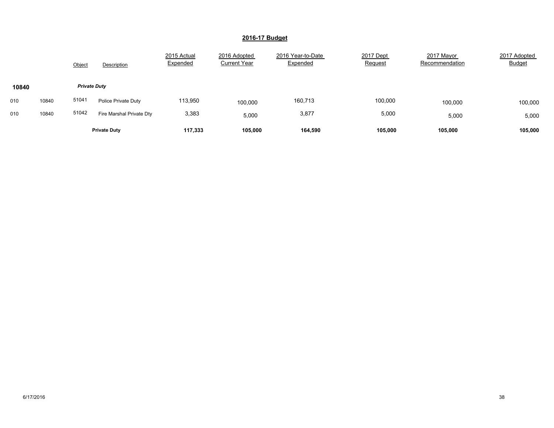|       |       | Object              | Description              | 2015 Actual<br>Expended | 2016 Adopted<br><b>Current Year</b> | 2016 Year-to-Date<br>Expended | 2017 Dept<br>Request | 2017 Mayor<br>Recommendation | 2017 Adopted<br><b>Budget</b> |
|-------|-------|---------------------|--------------------------|-------------------------|-------------------------------------|-------------------------------|----------------------|------------------------------|-------------------------------|
| 10840 |       | <b>Private Duty</b> |                          |                         |                                     |                               |                      |                              |                               |
| 010   | 10840 | 51041               | Police Private Duty      | 113,950                 | 100,000                             | 160,713                       | 100,000              | 100,000                      | 100,000                       |
| 010   | 10840 | 51042               | Fire Marshal Private Dty | 3,383                   | 5.000                               | 3,877                         | 5,000                | 5,000                        | 5,000                         |
|       |       |                     | <b>Private Duty</b>      | 117.333                 | 105.000                             | 164,590                       | 105,000              | 105.000                      | 105,000                       |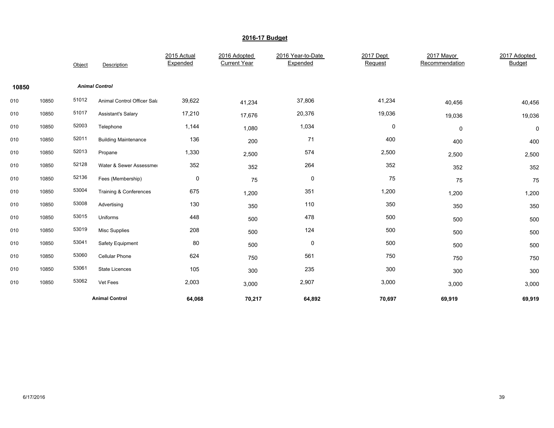|       |       | Object | Description                 | 2015 Actual<br>Expended | 2016 Adopted<br><b>Current Year</b> | 2016 Year-to-Date<br>Expended | 2017 Dept<br>Request | 2017 Mayor<br>Recommendation | 2017 Adopted<br><b>Budget</b> |
|-------|-------|--------|-----------------------------|-------------------------|-------------------------------------|-------------------------------|----------------------|------------------------------|-------------------------------|
| 10850 |       |        | <b>Animal Control</b>       |                         |                                     |                               |                      |                              |                               |
| 010   | 10850 | 51012  | Animal Control Officer Sala | 39,622                  | 41,234                              | 37,806                        | 41,234               | 40,456                       | 40,456                        |
| 010   | 10850 | 51017  | <b>Assistant's Salary</b>   | 17,210                  | 17,676                              | 20,376                        | 19,036               | 19,036                       | 19,036                        |
| 010   | 10850 | 52003  | Telephone                   | 1,144                   | 1,080                               | 1,034                         | 0                    | 0                            | 0                             |
| 010   | 10850 | 52011  | <b>Building Maintenance</b> | 136                     | 200                                 | 71                            | 400                  | 400                          | 400                           |
| 010   | 10850 | 52013  | Propane                     | 1,330                   | 2,500                               | 574                           | 2,500                | 2,500                        | 2,500                         |
| 010   | 10850 | 52128  | Water & Sewer Assessmer     | 352                     | 352                                 | 264                           | 352                  | 352                          | 352                           |
| 010   | 10850 | 52136  | Fees (Membership)           | $\pmb{0}$               | 75                                  | $\pmb{0}$                     | 75                   | 75                           | 75                            |
| 010   | 10850 | 53004  | Training & Conferences      | 675                     | 1,200                               | 351                           | 1,200                | 1,200                        | 1,200                         |
| 010   | 10850 | 53008  | Advertising                 | 130                     | 350                                 | 110                           | 350                  | 350                          | 350                           |
| 010   | 10850 | 53015  | Uniforms                    | 448                     | 500                                 | 478                           | 500                  | 500                          | 500                           |
| 010   | 10850 | 53019  | <b>Misc Supplies</b>        | 208                     | 500                                 | 124                           | 500                  | 500                          | 500                           |
| 010   | 10850 | 53041  | Safety Equipment            | 80                      | 500                                 | $\mathbf 0$                   | 500                  | 500                          | 500                           |
| 010   | 10850 | 53060  | Cellular Phone              | 624                     | 750                                 | 561                           | 750                  | 750                          | 750                           |
| 010   | 10850 | 53061  | <b>State Licences</b>       | 105                     | 300                                 | 235                           | 300                  | 300                          | 300                           |
| 010   | 10850 | 53062  | Vet Fees                    | 2,003                   | 3,000                               | 2,907                         | 3,000                | 3,000                        | 3,000                         |
|       |       |        | <b>Animal Control</b>       | 64,068                  | 70,217                              | 64,892                        | 70,697               | 69,919                       | 69,919                        |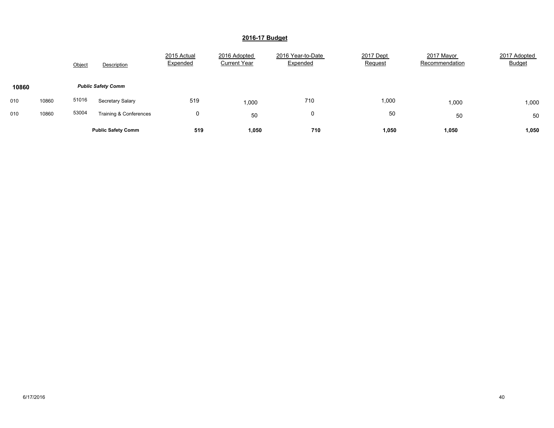|       |       | Object | Description               | 2015 Actual<br>Expended | 2016 Adopted<br><b>Current Year</b> | 2016 Year-to-Date<br>Expended | 2017 Dept<br>Request | 2017 Mayor<br>Recommendation | 2017 Adopted<br><b>Budget</b> |
|-------|-------|--------|---------------------------|-------------------------|-------------------------------------|-------------------------------|----------------------|------------------------------|-------------------------------|
| 10860 |       |        | <b>Public Safety Comm</b> |                         |                                     |                               |                      |                              |                               |
| 010   | 10860 | 51016  | Secretary Salary          | 519                     | 1,000                               | 710                           | 1,000                | 1,000                        | 1,000                         |
| 010   | 10860 | 53004  | Training & Conferences    | 0                       | 50                                  | 0                             | 50                   | 50                           | 50                            |
|       |       |        | <b>Public Safety Comm</b> | 519                     | 1,050                               | 710                           | 1,050                | 1,050                        | 1,050                         |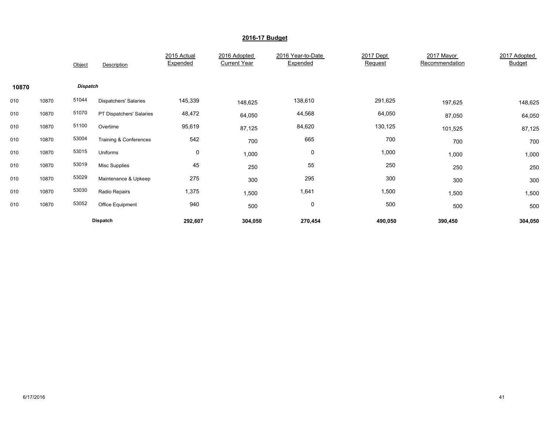|       |       | Object   | Description              | 2015 Actual<br>Expended | 2016 Adopted<br><b>Current Year</b> | 2016 Year-to-Date<br>Expended | 2017 Dept<br>Request | 2017 Mayor<br>Recommendation | 2017 Adopted<br><b>Budget</b> |
|-------|-------|----------|--------------------------|-------------------------|-------------------------------------|-------------------------------|----------------------|------------------------------|-------------------------------|
| 10870 |       | Dispatch |                          |                         |                                     |                               |                      |                              |                               |
| 010   | 10870 | 51044    | Dispatchers' Salaries    | 145,339                 | 148,625                             | 138,610                       | 291,625              | 197,625                      | 148,625                       |
| 010   | 10870 | 51070    | PT Dispatchers' Salaries | 48,472                  | 64,050                              | 44,568                        | 64,050               | 87,050                       | 64,050                        |
| 010   | 10870 | 51100    | Overtime                 | 95,619                  | 87,125                              | 84,620                        | 130,125              | 101,525                      | 87,125                        |
| 010   | 10870 | 53004    | Training & Conferences   | 542                     | 700                                 | 665                           | 700                  | 700                          | 700                           |
| 010   | 10870 | 53015    | Uniforms                 | $\pmb{0}$               | 1,000                               | 0                             | 1,000                | 1,000                        | 1,000                         |
| 010   | 10870 | 53019    | Misc Supplies            | 45                      | 250                                 | 55                            | 250                  | 250                          | 250                           |
| 010   | 10870 | 53029    | Maintenance & Upkeep     | 275                     | 300                                 | 295                           | 300                  | 300                          | 300                           |
| 010   | 10870 | 53030    | Radio Repairs            | 1,375                   | 1,500                               | 1,641                         | 1,500                | 1,500                        | 1,500                         |
| 010   | 10870 | 53052    | Office Equipment         | 940                     | 500                                 | 0                             | 500                  | 500                          | 500                           |
|       |       |          | <b>Dispatch</b>          | 292,607                 | 304,050                             | 270,454                       | 490,050              | 390,450                      | 304,050                       |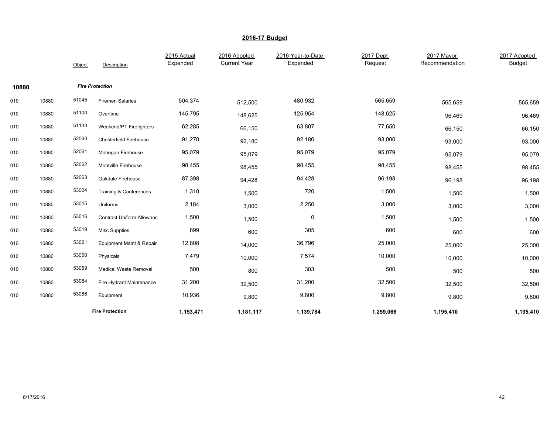|       |       | Object | Description                      | 2015 Actual<br>Expended | 2016 Adopted<br><b>Current Year</b> | 2016 Year-to-Date<br>Expended | 2017 Dept<br>Request | 2017 Mayor<br>Recommendation | 2017 Adopted<br><b>Budget</b> |
|-------|-------|--------|----------------------------------|-------------------------|-------------------------------------|-------------------------------|----------------------|------------------------------|-------------------------------|
| 10880 |       |        | <b>Fire Protection</b>           |                         |                                     |                               |                      |                              |                               |
| 010   | 10880 | 51045  | <b>Firemen Salaries</b>          | 504,374                 | 512,500                             | 480,932                       | 565,659              | 565,659                      | 565,659                       |
| 010   | 10880 | 51100  | Overtime                         | 145,795                 | 148,625                             | 125,954                       | 148,625              | 96,469                       | 96,469                        |
| 010   | 10880 | 51133  | Weekend/PT Firefighters          | 62,285                  | 66,150                              | 63,807                        | 77,650               | 66,150                       | 66,150                        |
| 010   | 10880 | 52060  | <b>Chesterfield Firehouse</b>    | 91,270                  | 92,180                              | 92,180                        | 93,000               | 93,000                       | 93,000                        |
| 010   | 10880 | 52061  | Mohegan Firehouse                | 95,079                  | 95,079                              | 95,079                        | 95,079               | 95,079                       | 95,079                        |
| 010   | 10880 | 52062  | Montville Firehouse              | 98,455                  | 98,455                              | 98,455                        | 98,455               | 98,455                       | 98,455                        |
| 010   | 10880 | 52063  | Oakdale Firehouse                | 87,398                  | 94,428                              | 94,428                        | 96,198               | 96,198                       | 96,198                        |
| 010   | 10880 | 53004  | Training & Conferences           | 1,310                   | 1,500                               | 720                           | 1,500                | 1,500                        | 1,500                         |
| 010   | 10880 | 53015  | Uniforms                         | 2,184                   | 3,000                               | 2,250                         | 3,000                | 3,000                        | 3,000                         |
| 010   | 10880 | 53016  | <b>Contract Uniform Allowanc</b> | 1,500                   | 1,500                               | $\mathbf 0$                   | 1,500                | 1,500                        | 1,500                         |
| 010   | 10880 | 53019  | <b>Misc Supplies</b>             | 899                     | 600                                 | 305                           | 600                  | 600                          | 600                           |
| 010   | 10880 | 53021  | Equipment Maint & Repair         | 12,808                  | 14,000                              | 36,796                        | 25,000               | 25,000                       | 25,000                        |
| 010   | 10880 | 53050  | Physicals                        | 7,479                   | 10,000                              | 7,574                         | 10,000               | 10,000                       | 10,000                        |
| 010   | 10880 | 53069  | <b>Medical Waste Removal</b>     | 500                     | 800                                 | 303                           | 500                  | 500                          | 500                           |
| 010   | 10880 | 53084  | Fire Hydrant Maintenance         | 31,200                  | 32,500                              | 31,200                        | 32,500               | 32,500                       | 32,500                        |
| 010   | 10880 | 53086  | Equipment                        | 10,936                  | 9,800                               | 9,800                         | 9,800                | 9,800                        | 9,800                         |
|       |       |        | <b>Fire Protection</b>           | 1,153,471               | 1,181,117                           | 1,139,784                     | 1,259,066            | 1,195,410                    | 1,195,410                     |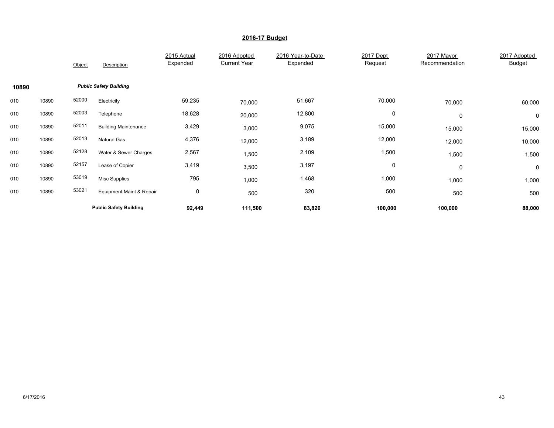|       |       | Object | Description                         | 2015 Actual<br>Expended | 2016 Adopted<br><b>Current Year</b> | 2016 Year-to-Date<br>Expended | 2017 Dept<br>Request | 2017 Mayor<br>Recommendation | 2017 Adopted<br>Budget |
|-------|-------|--------|-------------------------------------|-------------------------|-------------------------------------|-------------------------------|----------------------|------------------------------|------------------------|
| 10890 |       |        | <b>Public Safety Building</b>       |                         |                                     |                               |                      |                              |                        |
| 010   | 10890 | 52000  | Electricity                         | 59,235                  | 70,000                              | 51,667                        | 70,000               | 70,000                       | 60,000                 |
| 010   | 10890 | 52003  | Telephone                           | 18,628                  | 20,000                              | 12,800                        | 0                    | $\mathbf 0$                  | 0                      |
| 010   | 10890 | 52011  | <b>Building Maintenance</b>         | 3,429                   | 3,000                               | 9,075                         | 15,000               | 15,000                       | 15,000                 |
| 010   | 10890 | 52013  | <b>Natural Gas</b>                  | 4,376                   | 12,000                              | 3,189                         | 12,000               | 12,000                       | 10,000                 |
| 010   | 10890 | 52128  | Water & Sewer Charges               | 2,567                   | 1,500                               | 2,109                         | 1,500                | 1,500                        | 1,500                  |
| 010   | 10890 | 52157  | Lease of Copier                     | 3,419                   | 3,500                               | 3,197                         | 0                    | $\mathbf 0$                  | $\mathbf 0$            |
| 010   | 10890 | 53019  | <b>Misc Supplies</b>                | 795                     | 1,000                               | 1,468                         | 1,000                | 1,000                        | 1,000                  |
| 010   | 10890 | 53021  | <b>Equipment Maint &amp; Repair</b> | 0                       | 500                                 | 320                           | 500                  | 500                          | 500                    |
|       |       |        | <b>Public Safety Building</b>       | 92,449                  | 111,500                             | 83,826                        | 100,000              | 100,000                      | 88,000                 |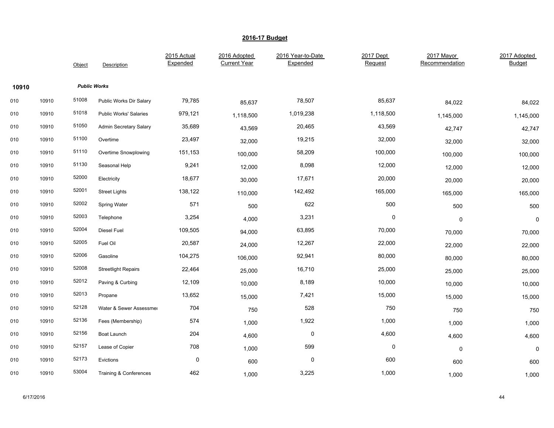|       |       | Object | Description                   | 2015 Actual<br>Expended | 2016 Adopted<br><b>Current Year</b> | 2016 Year-to-Date<br>Expended | 2017 Dept<br>Request | 2017 Mayor<br>Recommendation | 2017 Adopted<br><b>Budget</b> |
|-------|-------|--------|-------------------------------|-------------------------|-------------------------------------|-------------------------------|----------------------|------------------------------|-------------------------------|
| 10910 |       |        | <b>Public Works</b>           |                         |                                     |                               |                      |                              |                               |
| 010   | 10910 | 51008  | Public Works Dir Salary       | 79,785                  | 85,637                              | 78,507                        | 85,637               | 84,022                       | 84,022                        |
| 010   | 10910 | 51018  | <b>Public Works' Salaries</b> | 979,121                 | 1,118,500                           | 1,019,238                     | 1,118,500            | 1,145,000                    | 1,145,000                     |
| 010   | 10910 | 51050  | Admin Secretary Salary        | 35,689                  | 43,569                              | 20,465                        | 43,569               | 42,747                       | 42,747                        |
| 010   | 10910 | 51100  | Overtime                      | 23,497                  | 32,000                              | 19,215                        | 32,000               | 32,000                       | 32,000                        |
| 010   | 10910 | 51110  | Overtime Snowplowing          | 151,153                 | 100,000                             | 58,209                        | 100,000              | 100,000                      | 100,000                       |
| 010   | 10910 | 51130  | Seasonal Help                 | 9,241                   | 12,000                              | 8,098                         | 12,000               | 12,000                       | 12,000                        |
| 010   | 10910 | 52000  | Electricity                   | 18,677                  | 30,000                              | 17,671                        | 20,000               | 20,000                       | 20,000                        |
| 010   | 10910 | 52001  | <b>Street Lights</b>          | 138,122                 | 110,000                             | 142,492                       | 165,000              | 165,000                      | 165,000                       |
| 010   | 10910 | 52002  | Spring Water                  | 571                     | 500                                 | 622                           | 500                  | 500                          | 500                           |
| 010   | 10910 | 52003  | Telephone                     | 3,254                   | 4,000                               | 3,231                         | $\pmb{0}$            | $\mathbf 0$                  | $\mathbf 0$                   |
| 010   | 10910 | 52004  | <b>Diesel Fuel</b>            | 109,505                 | 94,000                              | 63,895                        | 70,000               | 70,000                       | 70,000                        |
| 010   | 10910 | 52005  | Fuel Oil                      | 20,587                  | 24,000                              | 12,267                        | 22,000               | 22,000                       | 22,000                        |
| 010   | 10910 | 52006  | Gasoline                      | 104,275                 | 106,000                             | 92,941                        | 80,000               | 80,000                       | 80,000                        |
| 010   | 10910 | 52008  | <b>Streetlight Repairs</b>    | 22,464                  | 25,000                              | 16,710                        | 25,000               | 25,000                       | 25,000                        |
| 010   | 10910 | 52012  | Paving & Curbing              | 12,109                  | 10,000                              | 8,189                         | 10,000               | 10,000                       | 10,000                        |
| 010   | 10910 | 52013  | Propane                       | 13,652                  | 15,000                              | 7,421                         | 15,000               | 15,000                       | 15,000                        |
| 010   | 10910 | 52128  | Water & Sewer Assessmer       | 704                     | 750                                 | 528                           | 750                  | 750                          | 750                           |
| 010   | 10910 | 52136  | Fees (Membership)             | 574                     | 1,000                               | 1,922                         | 1,000                | 1,000                        | 1,000                         |
| 010   | 10910 | 52156  | Boat Launch                   | 204                     | 4,600                               | $\mathbf 0$                   | 4,600                | 4,600                        | 4,600                         |
| 010   | 10910 | 52157  | Lease of Copier               | 708                     | 1,000                               | 599                           | $\pmb{0}$            | 0                            | 0                             |
| 010   | 10910 | 52173  | Evictions                     | $\pmb{0}$               | 600                                 | 0                             | 600                  | 600                          | 600                           |
| 010   | 10910 | 53004  | Training & Conferences        | 462                     | 1,000                               | 3,225                         | 1,000                | 1,000                        | 1,000                         |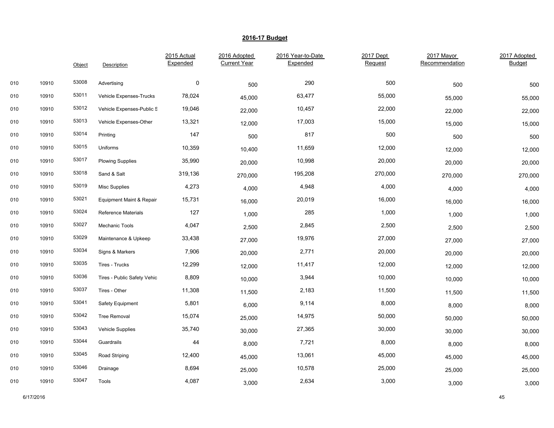|     |       | Object | Description                         | 2015 Actual<br>Expended | 2016 Adopted<br><b>Current Year</b> | 2016 Year-to-Date<br>Expended | 2017 Dept<br>Request | 2017 Mayor<br>Recommendation | 2017 Adopted<br>Budget |
|-----|-------|--------|-------------------------------------|-------------------------|-------------------------------------|-------------------------------|----------------------|------------------------------|------------------------|
| 010 | 10910 | 53008  | Advertising                         | $\pmb{0}$               | 500                                 | 290                           | 500                  | 500                          | 500                    |
| 010 | 10910 | 53011  | Vehicle Expenses-Trucks             | 78,024                  | 45,000                              | 63,477                        | 55,000               | 55,000                       | 55,000                 |
| 010 | 10910 | 53012  | Vehicle Expenses-Public S           | 19,046                  | 22,000                              | 10,457                        | 22,000               | 22,000                       | 22,000                 |
| 010 | 10910 | 53013  | Vehicle Expenses-Other              | 13,321                  | 12,000                              | 17,003                        | 15,000               | 15,000                       | 15,000                 |
| 010 | 10910 | 53014  | Printing                            | 147                     | 500                                 | 817                           | 500                  | 500                          | 500                    |
| 010 | 10910 | 53015  | Uniforms                            | 10,359                  | 10,400                              | 11,659                        | 12,000               | 12,000                       | 12,000                 |
| 010 | 10910 | 53017  | <b>Plowing Supplies</b>             | 35,990                  | 20,000                              | 10,998                        | 20,000               | 20,000                       | 20,000                 |
| 010 | 10910 | 53018  | Sand & Salt                         | 319,136                 | 270,000                             | 195,208                       | 270,000              | 270,000                      | 270,000                |
| 010 | 10910 | 53019  | <b>Misc Supplies</b>                | 4,273                   | 4,000                               | 4,948                         | 4,000                | 4,000                        | 4,000                  |
| 010 | 10910 | 53021  | <b>Equipment Maint &amp; Repair</b> | 15,731                  | 16,000                              | 20,019                        | 16,000               | 16,000                       | 16,000                 |
| 010 | 10910 | 53024  | <b>Reference Materials</b>          | 127                     | 1,000                               | 285                           | 1,000                | 1,000                        | 1,000                  |
| 010 | 10910 | 53027  | Mechanic Tools                      | 4,047                   | 2,500                               | 2,845                         | 2,500                | 2,500                        | 2,500                  |
| 010 | 10910 | 53029  | Maintenance & Upkeep                | 33,438                  | 27,000                              | 19,976                        | 27,000               | 27,000                       | 27,000                 |
| 010 | 10910 | 53034  | Signs & Markers                     | 7,906                   | 20,000                              | 2,771                         | 20,000               | 20,000                       | 20,000                 |
| 010 | 10910 | 53035  | Tires - Trucks                      | 12,299                  | 12,000                              | 11,417                        | 12,000               | 12,000                       | 12,000                 |
| 010 | 10910 | 53036  | Tires - Public Safety Vehic         | 8,809                   | 10,000                              | 3,944                         | 10,000               | 10,000                       | 10,000                 |
| 010 | 10910 | 53037  | Tires - Other                       | 11,308                  | 11,500                              | 2,183                         | 11,500               | 11,500                       | 11,500                 |
| 010 | 10910 | 53041  | Safety Equipment                    | 5,801                   | 6,000                               | 9,114                         | 8,000                | 8,000                        | 8,000                  |
| 010 | 10910 | 53042  | <b>Tree Removal</b>                 | 15,074                  | 25,000                              | 14,975                        | 50,000               | 50,000                       | 50,000                 |
| 010 | 10910 | 53043  | Vehicle Supplies                    | 35,740                  | 30,000                              | 27,365                        | 30,000               | 30,000                       | 30,000                 |
| 010 | 10910 | 53044  | Guardrails                          | 44                      | 8,000                               | 7,721                         | 8,000                | 8,000                        | 8,000                  |
| 010 | 10910 | 53045  | Road Striping                       | 12,400                  | 45,000                              | 13,061                        | 45,000               | 45,000                       | 45,000                 |
| 010 | 10910 | 53046  | Drainage                            | 8,694                   | 25,000                              | 10,578                        | 25,000               | 25,000                       | 25,000                 |
| 010 | 10910 | 53047  | Tools                               | 4,087                   | 3,000                               | 2,634                         | 3,000                | 3,000                        | 3,000                  |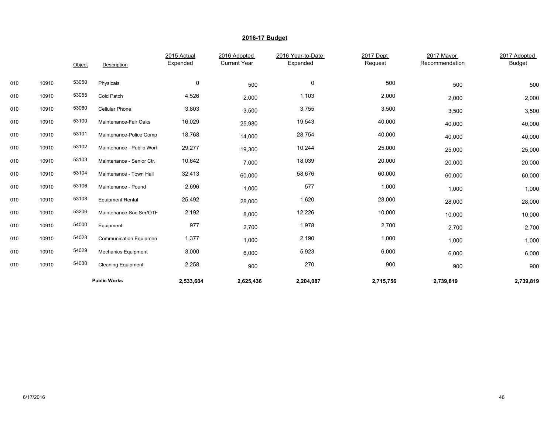|     |       | Object | Description                | 2015 Actual<br>Expended | 2016 Adopted<br><b>Current Year</b> | 2016 Year-to-Date<br>Expended | 2017 Dept<br>Request | 2017 Mayor<br>Recommendation | 2017 Adopted<br><b>Budget</b> |
|-----|-------|--------|----------------------------|-------------------------|-------------------------------------|-------------------------------|----------------------|------------------------------|-------------------------------|
|     |       |        |                            |                         |                                     |                               |                      |                              |                               |
| 010 | 10910 | 53050  | Physicals                  | 0                       | 500                                 | 0                             | 500                  | 500                          | 500                           |
| 010 | 10910 | 53055  | Cold Patch                 | 4,526                   | 2,000                               | 1,103                         | 2,000                | 2,000                        | 2,000                         |
| 010 | 10910 | 53060  | <b>Cellular Phone</b>      | 3,803                   | 3,500                               | 3,755                         | 3,500                | 3,500                        | 3,500                         |
| 010 | 10910 | 53100  | Maintenance-Fair Oaks      | 16,029                  | 25,980                              | 19,543                        | 40,000               | 40,000                       | 40,000                        |
| 010 | 10910 | 53101  | Maintenance-Police Comp    | 18,768                  | 14,000                              | 28,754                        | 40,000               | 40,000                       | 40,000                        |
| 010 | 10910 | 53102  | Maintenance - Public Work  | 29,277                  | 19,300                              | 10,244                        | 25,000               | 25,000                       | 25,000                        |
| 010 | 10910 | 53103  | Maintenance - Senior Ctr.  | 10,642                  | 7,000                               | 18,039                        | 20,000               | 20,000                       | 20,000                        |
| 010 | 10910 | 53104  | Maintenance - Town Hall    | 32,413                  | 60,000                              | 58,676                        | 60,000               | 60,000                       | 60,000                        |
| 010 | 10910 | 53106  | Maintenance - Pound        | 2,696                   | 1,000                               | 577                           | 1,000                | 1,000                        | 1,000                         |
| 010 | 10910 | 53108  | <b>Equipment Rental</b>    | 25,492                  | 28,000                              | 1,620                         | 28,000               | 28,000                       | 28,000                        |
| 010 | 10910 | 53206  | Maintenance-Soc Ser/OTH    | 2,192                   | 8,000                               | 12,226                        | 10,000               | 10,000                       | 10,000                        |
| 010 | 10910 | 54000  | Equipment                  | 977                     | 2,700                               | 1,978                         | 2,700                | 2,700                        | 2,700                         |
| 010 | 10910 | 54028  | Communication Equipmen     | 1,377                   | 1,000                               | 2,190                         | 1,000                | 1,000                        | 1,000                         |
| 010 | 10910 | 54029  | <b>Mechanics Equipment</b> | 3,000                   | 6,000                               | 5,923                         | 6,000                | 6,000                        | 6,000                         |
| 010 | 10910 | 54030  | <b>Cleaning Equipment</b>  | 2,258                   | 900                                 | 270                           | 900                  | 900                          | 900                           |
|     |       |        | <b>Public Works</b>        | 2,533,604               | 2,625,436                           | 2,204,087                     | 2,715,756            | 2,739,819                    | 2,739,819                     |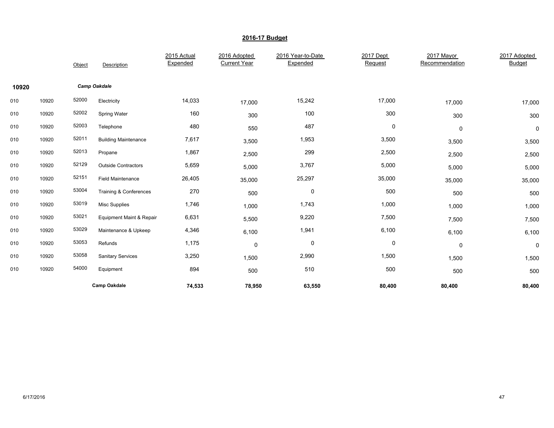|       |       | Object | Description                         | 2015 Actual<br>Expended | 2016 Adopted<br><b>Current Year</b> | 2016 Year-to-Date<br>Expended | 2017 Dept<br>Request | 2017 Mayor<br>Recommendation | 2017 Adopted<br><b>Budget</b> |
|-------|-------|--------|-------------------------------------|-------------------------|-------------------------------------|-------------------------------|----------------------|------------------------------|-------------------------------|
| 10920 |       |        | <b>Camp Oakdale</b>                 |                         |                                     |                               |                      |                              |                               |
| 010   | 10920 | 52000  | Electricity                         | 14,033                  | 17,000                              | 15,242                        | 17,000               | 17,000                       | 17,000                        |
| 010   | 10920 | 52002  | Spring Water                        | 160                     | 300                                 | 100                           | 300                  | 300                          | 300                           |
| 010   | 10920 | 52003  | Telephone                           | 480                     | 550                                 | 487                           | 0                    | 0                            | $\mathbf 0$                   |
| 010   | 10920 | 52011  | <b>Building Maintenance</b>         | 7,617                   | 3,500                               | 1,953                         | 3,500                | 3,500                        | 3,500                         |
| 010   | 10920 | 52013  | Propane                             | 1,867                   | 2,500                               | 299                           | 2,500                | 2,500                        | 2,500                         |
| 010   | 10920 | 52129  | <b>Outside Contractors</b>          | 5,659                   | 5,000                               | 3,767                         | 5,000                | 5,000                        | 5,000                         |
| 010   | 10920 | 52151  | <b>Field Maintenance</b>            | 26,405                  | 35,000                              | 25,297                        | 35,000               | 35,000                       | 35,000                        |
| 010   | 10920 | 53004  | Training & Conferences              | 270                     | 500                                 | $\pmb{0}$                     | 500                  | 500                          | 500                           |
| 010   | 10920 | 53019  | <b>Misc Supplies</b>                | 1,746                   | 1,000                               | 1,743                         | 1,000                | 1,000                        | 1,000                         |
| 010   | 10920 | 53021  | <b>Equipment Maint &amp; Repair</b> | 6,631                   | 5,500                               | 9,220                         | 7,500                | 7,500                        | 7,500                         |
| 010   | 10920 | 53029  | Maintenance & Upkeep                | 4,346                   | 6,100                               | 1,941                         | 6,100                | 6,100                        | 6,100                         |
| 010   | 10920 | 53053  | Refunds                             | 1,175                   | $\mathbf 0$                         | 0                             | 0                    | $\mathbf 0$                  | 0                             |
| 010   | 10920 | 53058  | <b>Sanitary Services</b>            | 3,250                   | 1,500                               | 2,990                         | 1,500                | 1,500                        | 1,500                         |
| 010   | 10920 | 54000  | Equipment                           | 894                     | 500                                 | 510                           | 500                  | 500                          | 500                           |
|       |       |        | <b>Camp Oakdale</b>                 | 74,533                  | 78,950                              | 63,550                        | 80,400               | 80,400                       | 80,400                        |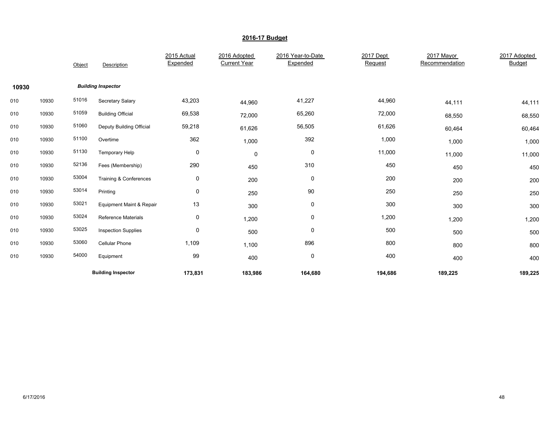|       |       | Object | Description                         | 2015 Actual<br>Expended | 2016 Adopted<br><b>Current Year</b> | 2016 Year-to-Date<br>Expended | 2017 Dept<br>Request | 2017 Mayor<br>Recommendation | 2017 Adopted<br><b>Budget</b> |
|-------|-------|--------|-------------------------------------|-------------------------|-------------------------------------|-------------------------------|----------------------|------------------------------|-------------------------------|
| 10930 |       |        | <b>Building Inspector</b>           |                         |                                     |                               |                      |                              |                               |
| 010   | 10930 | 51016  | Secretary Salary                    | 43,203                  | 44,960                              | 41,227                        | 44,960               | 44,111                       | 44,111                        |
| 010   | 10930 | 51059  | <b>Building Official</b>            | 69,538                  | 72,000                              | 65,260                        | 72,000               | 68,550                       | 68,550                        |
| 010   | 10930 | 51060  | Deputy Building Official            | 59,218                  | 61,626                              | 56,505                        | 61,626               | 60,464                       | 60,464                        |
| 010   | 10930 | 51100  | Overtime                            | 362                     | 1,000                               | 392                           | 1,000                | 1,000                        | 1,000                         |
| 010   | 10930 | 51130  | Temporary Help                      | 0                       | $\mathbf 0$                         | $\pmb{0}$                     | 11,000               | 11,000                       | 11,000                        |
| 010   | 10930 | 52136  | Fees (Membership)                   | 290                     | 450                                 | 310                           | 450                  | 450                          | 450                           |
| 010   | 10930 | 53004  | Training & Conferences              | 0                       | 200                                 | $\mathbf 0$                   | 200                  | 200                          | 200                           |
| 010   | 10930 | 53014  | Printing                            | 0                       | 250                                 | 90                            | 250                  | 250                          | 250                           |
| 010   | 10930 | 53021  | <b>Equipment Maint &amp; Repair</b> | 13                      | 300                                 | 0                             | 300                  | 300                          | 300                           |
| 010   | 10930 | 53024  | <b>Reference Materials</b>          | 0                       | 1,200                               | 0                             | 1,200                | 1,200                        | 1,200                         |
| 010   | 10930 | 53025  | <b>Inspection Supplies</b>          | 0                       | 500                                 | $\mathbf 0$                   | 500                  | 500                          | 500                           |
| 010   | 10930 | 53060  | <b>Cellular Phone</b>               | 1,109                   | 1,100                               | 896                           | 800                  | 800                          | 800                           |
| 010   | 10930 | 54000  | Equipment                           | 99                      | 400                                 | $\pmb{0}$                     | 400                  | 400                          | 400                           |
|       |       |        | <b>Building Inspector</b>           | 173,831                 | 183,986                             | 164,680                       | 194,686              | 189,225                      | 189,225                       |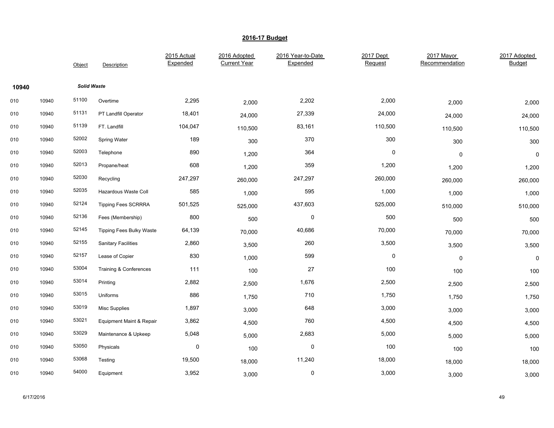|       |       | Object             | Description                     | 2015 Actual<br>Expended | 2016 Adopted<br><b>Current Year</b> | 2016 Year-to-Date<br>Expended | 2017 Dept<br>Request | 2017 Mayor<br>Recommendation | 2017 Adopted<br><b>Budget</b> |
|-------|-------|--------------------|---------------------------------|-------------------------|-------------------------------------|-------------------------------|----------------------|------------------------------|-------------------------------|
| 10940 |       | <b>Solid Waste</b> |                                 |                         |                                     |                               |                      |                              |                               |
| 010   | 10940 | 51100              | Overtime                        | 2,295                   | 2,000                               | 2,202                         | 2,000                | 2,000                        | 2,000                         |
| 010   | 10940 | 51131              | PT Landfill Operator            | 18,401                  | 24,000                              | 27,339                        | 24,000               | 24,000                       | 24,000                        |
| 010   | 10940 | 51139              | FT. Landfill                    | 104,047                 | 110,500                             | 83,161                        | 110,500              | 110,500                      | 110,500                       |
| 010   | 10940 | 52002              | Spring Water                    | 189                     | 300                                 | 370                           | 300                  | 300                          | 300                           |
| 010   | 10940 | 52003              | Telephone                       | 890                     | 1,200                               | 364                           | $\pmb{0}$            | 0                            | 0                             |
| 010   | 10940 | 52013              | Propane/heat                    | 608                     | 1,200                               | 359                           | 1,200                | 1,200                        | 1,200                         |
| 010   | 10940 | 52030              | Recycling                       | 247,297                 | 260,000                             | 247,297                       | 260,000              | 260,000                      | 260,000                       |
| 010   | 10940 | 52035              | Hazardous Waste Coll            | 585                     | 1,000                               | 595                           | 1,000                | 1,000                        | 1,000                         |
| 010   | 10940 | 52124              | <b>Tipping Fees SCRRRA</b>      | 501,525                 | 525,000                             | 437,603                       | 525,000              | 510,000                      | 510,000                       |
| 010   | 10940 | 52136              | Fees (Membership)               | 800                     | 500                                 | 0                             | 500                  | 500                          | 500                           |
| 010   | 10940 | 52145              | <b>Tipping Fees Bulky Waste</b> | 64,139                  | 70,000                              | 40,686                        | 70,000               | 70,000                       | 70,000                        |
| 010   | 10940 | 52155              | <b>Sanitary Facilities</b>      | 2,860                   | 3,500                               | 260                           | 3,500                | 3,500                        | 3,500                         |
| 010   | 10940 | 52157              | Lease of Copier                 | 830                     | 1,000                               | 599                           | $\pmb{0}$            | 0                            | $\pmb{0}$                     |
| 010   | 10940 | 53004              | Training & Conferences          | 111                     | 100                                 | 27                            | 100                  | 100                          | 100                           |
| 010   | 10940 | 53014              | Printing                        | 2,882                   | 2,500                               | 1,676                         | 2,500                | 2,500                        | 2,500                         |
| 010   | 10940 | 53015              | Uniforms                        | 886                     | 1,750                               | 710                           | 1,750                | 1,750                        | 1,750                         |
| 010   | 10940 | 53019              | <b>Misc Supplies</b>            | 1,897                   | 3,000                               | 648                           | 3,000                | 3,000                        | 3,000                         |
| 010   | 10940 | 53021              | Equipment Maint & Repair        | 3,862                   | 4,500                               | 760                           | 4,500                | 4,500                        | 4,500                         |
| 010   | 10940 | 53029              | Maintenance & Upkeep            | 5,048                   | 5,000                               | 2,683                         | 5,000                | 5,000                        | 5,000                         |
| 010   | 10940 | 53050              | Physicals                       | $\mathbf 0$             | 100                                 | $\pmb{0}$                     | 100                  | 100                          | 100                           |
| 010   | 10940 | 53068              | Testing                         | 19,500                  | 18,000                              | 11,240                        | 18,000               | 18,000                       | 18,000                        |
| 010   | 10940 | 54000              | Equipment                       | 3,952                   | 3,000                               | $\mathbf 0$                   | 3,000                | 3,000                        | 3,000                         |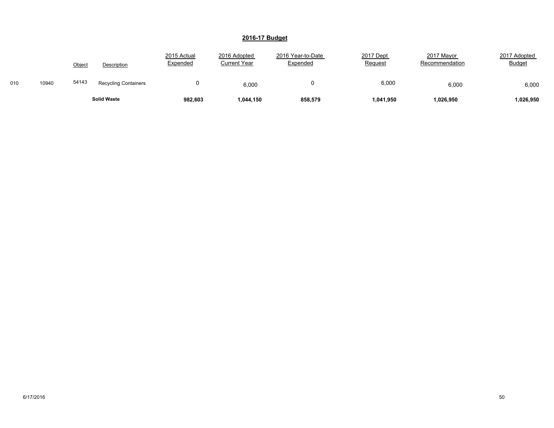|     |       | Object | <b>Description</b>          | 2015 Actual<br>Expended | 2016 Adopted<br>Current Year | 2016 Year-to-Date<br><b>Expended</b> | 2017 Dept<br>Request | 2017 Mayor<br>Recommendation | 2017 Adopted<br><b>Budget</b> |
|-----|-------|--------|-----------------------------|-------------------------|------------------------------|--------------------------------------|----------------------|------------------------------|-------------------------------|
| 010 | 10940 | 54143  | <b>Recycling Containers</b> |                         | 6,000                        |                                      | 6,000                | 6,000                        | 6,000                         |
|     |       |        | <b>Solid Waste</b>          | 982,603                 | 1,044,150                    | 858,579                              | 1,041,950            | 1,026,950                    | 1,026,950                     |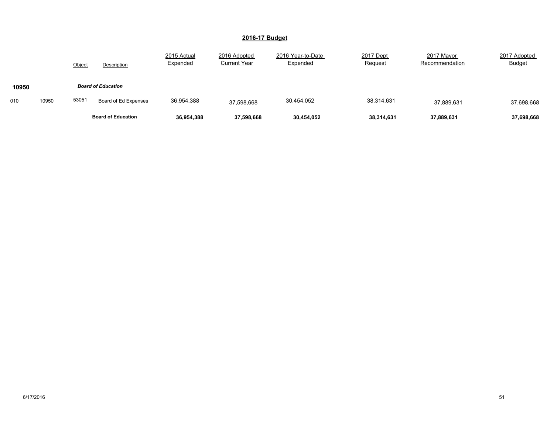|       |       | Object                    | Description               | 2015 Actual<br>Expended | 2016 Adopted<br><b>Current Year</b> | 2016 Year-to-Date<br>Expended | 2017 Dept<br>Request | 2017 Mayor<br>Recommendation | 2017 Adopted<br><b>Budget</b> |
|-------|-------|---------------------------|---------------------------|-------------------------|-------------------------------------|-------------------------------|----------------------|------------------------------|-------------------------------|
| 10950 |       | <b>Board of Education</b> |                           |                         |                                     |                               |                      |                              |                               |
| 010   | 10950 | 53051                     | Board of Ed Expenses      | 36,954,388              | 37,598,668                          | 30,454,052                    | 38,314,631           | 37,889,631                   | 37,698,668                    |
|       |       |                           | <b>Board of Education</b> | 36,954,388              | 37,598,668                          | 30,454,052                    | 38,314,631           | 37,889,631                   | 37,698,668                    |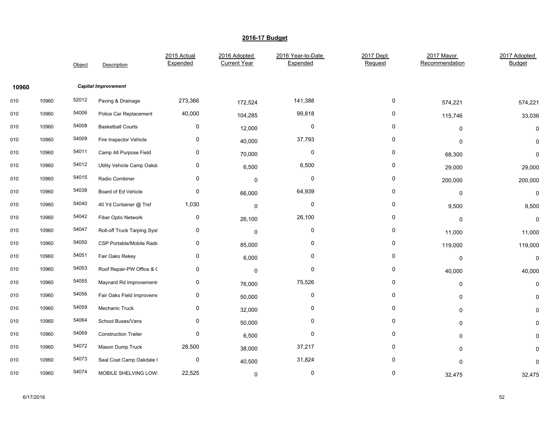|       |       | Object | Description                 | 2015 Actual<br>Expended | 2016 Adopted<br><b>Current Year</b> | 2016 Year-to-Date<br>Expended | 2017 Dept<br>Request | 2017 Mayor<br>Recommendation | 2017 Adopted<br><b>Budget</b> |
|-------|-------|--------|-----------------------------|-------------------------|-------------------------------------|-------------------------------|----------------------|------------------------------|-------------------------------|
| 10960 |       |        | <b>Capital Improvement</b>  |                         |                                     |                               |                      |                              |                               |
| 010   | 10960 | 52012  | Paving & Drainage           | 273,366                 | 172,524                             | 141,388                       | 0                    | 574,221                      | 574,221                       |
| 010   | 10960 | 54006  | Police Car Replacement      | 40,000                  | 104,285                             | 99,818                        | 0                    | 115,746                      | 33,036                        |
| 010   | 10960 | 54008  | <b>Basketball Courts</b>    | 0                       | 12,000                              | 0                             | 0                    | $\Omega$                     | $\Omega$                      |
| 010   | 10960 | 54009  | Fire Inspector Vehicle      | 0                       | 40,000                              | 37,793                        | 0                    | $\Omega$                     | $\mathbf 0$                   |
| 010   | 10960 | 54011  | Camp All Purpose Field      | 0                       | 70,000                              | 0                             | 0                    | 68,300                       | 0                             |
| 010   | 10960 | 54012  | Utility Vehicle Camp Oakda  | 0                       | 6,500                               | 6,500                         | 0                    | 29,000                       | 29,000                        |
| 010   | 10960 | 54015  | Radio Combiner              | 0                       | $\mathbf 0$                         | 0                             | 0                    | 200,000                      | 200,000                       |
| 010   | 10960 | 54038  | Board of Ed Vehicle         | 0                       | 66,000                              | 64,939                        | 0                    | 0                            | $\mathbf 0$                   |
| 010   | 10960 | 54040  | 40 Yd Container @ Trsf      | 1,030                   | $\mathbf 0$                         | $\pmb{0}$                     | 0                    | 9,500                        | 9,500                         |
| 010   | 10960 | 54042  | Fiber Optic Network         | 0                       | 26,100                              | 26,100                        | 0                    | 0                            | $\mathbf 0$                   |
| 010   | 10960 | 54047  | Roll-off Truck Tarping Syst | 0                       | $\mathbf 0$                         | 0                             | 0                    | 11,000                       | 11,000                        |
| 010   | 10960 | 54050  | CSP Portable/Mobile Radio   | 0                       | 85,000                              | 0                             | 0                    | 119,000                      | 119,000                       |
| 010   | 10960 | 54051  | Fair Oaks Rekey             | 0                       | 6,000                               | 0                             | 0                    | 0                            | $\mathbf 0$                   |
| 010   | 10960 | 54053  | Roof Repair-PW Office & C   | 0                       | $\mathbf 0$                         | 0                             | 0                    | 40,000                       | 40,000                        |
| 010   | 10960 | 54055  | Maynard Rd Improvements     | 0                       | 76,000                              | 75,526                        | 0                    | $\mathbf 0$                  | 0                             |
| 010   | 10960 | 54056  | Fair Oaks Field Improveme   | 0                       | 50,000                              | 0                             | 0                    | 0                            | 0                             |
| 010   | 10960 | 54059  | Mechanic Truck              | 0                       | 32,000                              | 0                             | 0                    | 0                            | 0                             |
| 010   | 10960 | 54064  | School Buses/Vans           | 0                       | 50,000                              | 0                             | 0                    | $\mathbf 0$                  | 0                             |
| 010   | 10960 | 54069  | <b>Construction Trailer</b> | 0                       | 6,500                               | 0                             | 0                    | $\mathbf 0$                  | ŋ                             |
| 010   | 10960 | 54072  | Mason Dump Truck            | 28,500                  | 38,000                              | 37,217                        | 0                    | 0                            | 0                             |
| 010   | 10960 | 54073  | Seal Coat Camp Oakdale I    | 0                       | 40,500                              | 31,824                        | 0                    | 0                            | $\Omega$                      |
| 010   | 10960 | 54074  | MOBILE SHELVING LOWI        | 22,525                  | 0                                   | 0                             | 0                    | 32,475                       | 32,475                        |